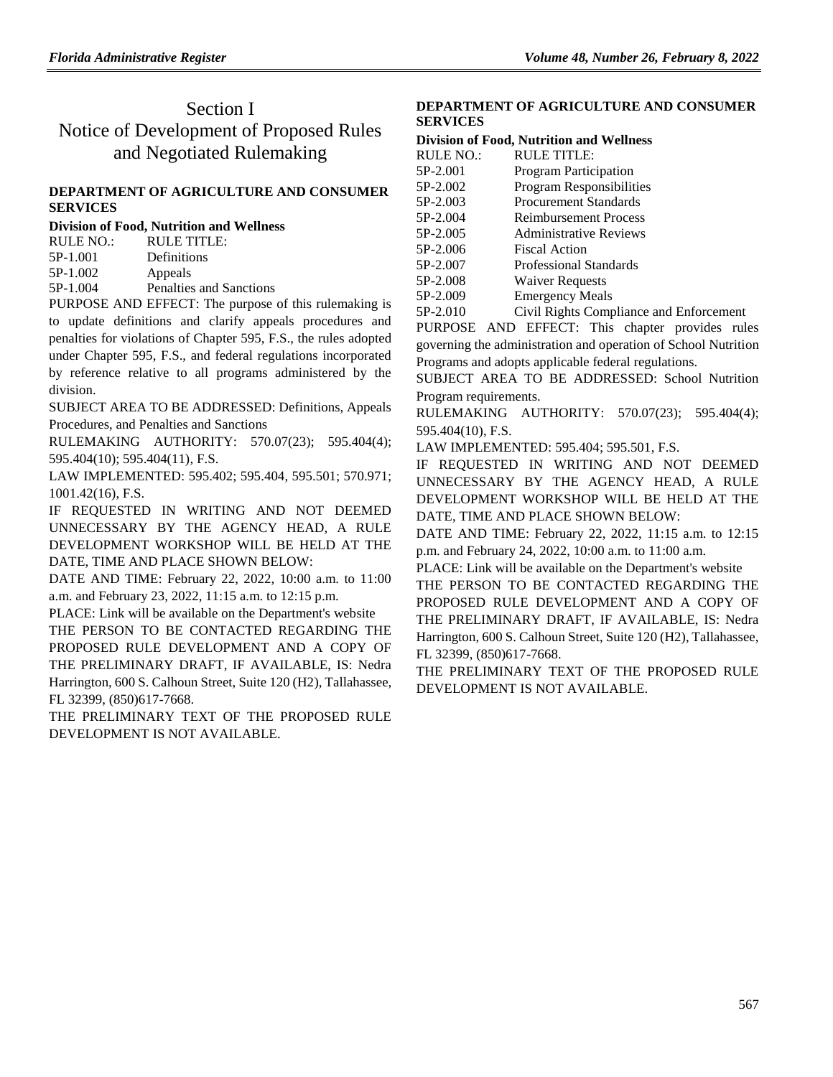# Section I Notice of Development of Proposed Rules and Negotiated Rulemaking

# **[DEPARTMENT OF AGRICULTURE AND CONSUMER](https://flrules.org/gateway/department.asp?id=5)  [SERVICES](https://flrules.org/gateway/department.asp?id=5)**

| Division of Food, Nutrition and Wellness |  |  |  |
|------------------------------------------|--|--|--|
|------------------------------------------|--|--|--|

| RULE NO.: | RULE TITLE:             |
|-----------|-------------------------|
| 5P-1.001  | Definitions             |
| 5P-1.002  | Appeals                 |
| 5P-1.004  | Penalties and Sanctions |

PURPOSE AND EFFECT: The purpose of this rulemaking is to update definitions and clarify appeals procedures and penalties for violations of Chapter 595, F.S., the rules adopted under Chapter 595, F.S., and federal regulations incorporated by reference relative to all programs administered by the division.

SUBJECT AREA TO BE ADDRESSED: Definitions, Appeals Procedures, and Penalties and Sanctions

RULEMAKING AUTHORITY: [570.07\(23\); 595.404\(4\);](https://flrules.org/gateway/statute.asp?id=570.07(23);%20595.404(4);%20595.404(10);%20595.404(11))  [595.404\(10\); 595.404\(11\),](https://flrules.org/gateway/statute.asp?id=570.07(23);%20595.404(4);%20595.404(10);%20595.404(11)) F.S.

LAW IMPLEMENTED: [595.402; 595.404,](https://flrules.org/gateway/statute.asp?id=595.402;%20595.404) [595.501; 570.971;](https://flrules.org/gateway/statute.asp?id=%20595.501;%20570.971;%201001.42(16))  [1001.42\(16\),](https://flrules.org/gateway/statute.asp?id=%20595.501;%20570.971;%201001.42(16)) F.S.

IF REQUESTED IN WRITING AND NOT DEEMED UNNECESSARY BY THE AGENCY HEAD, A RULE DEVELOPMENT WORKSHOP WILL BE HELD AT THE DATE, TIME AND PLACE SHOWN BELOW:

DATE AND TIME: February 22, 2022, 10:00 a.m. to 11:00 a.m. and February 23, 2022, 11:15 a.m. to 12:15 p.m.

PLACE: Link will be available on the Department's website THE PERSON TO BE CONTACTED REGARDING THE PROPOSED RULE DEVELOPMENT AND A COPY OF THE PRELIMINARY DRAFT, IF AVAILABLE, IS: Nedra Harrington, 600 S. Calhoun Street, Suite 120 (H2), Tallahassee,

FL 32399, (850)617-7668. THE PRELIMINARY TEXT OF THE PROPOSED RULE DEVELOPMENT IS NOT AVAILABLE.

## **[DEPARTMENT OF AGRICULTURE AND CONSUMER](https://flrules.org/gateway/department.asp?id=5)  [SERVICES](https://flrules.org/gateway/department.asp?id=5)**

#### **[Division of Food, Nutrition and Wellness](https://flrules.org/gateway/organization.asp?id=1068)**

| <b>RULE NO.:</b> | <b>RULE TITLE:</b>                      |
|------------------|-----------------------------------------|
| 5P-2.001         | Program Participation                   |
| 5P-2.002         | Program Responsibilities                |
| 5P-2.003         | <b>Procurement Standards</b>            |
| 5P-2.004         | <b>Reimbursement Process</b>            |
| 5P-2.005         | <b>Administrative Reviews</b>           |
| 5P-2.006         | Fiscal Action                           |
| 5P-2.007         | Professional Standards                  |
| 5P-2.008         | <b>Waiver Requests</b>                  |
| 5P-2.009         | <b>Emergency Meals</b>                  |
| 5P-2.010         | Civil Rights Compliance and Enforcement |

PURPOSE AND EFFECT: This chapter provides rules governing the administration and operation of School Nutrition Programs and adopts applicable federal regulations.

SUBJECT AREA TO BE ADDRESSED: School Nutrition Program requirements.

RULEMAKING AUTHORITY: [570.07\(23\); 595.404\(4\);](https://flrules.org/gateway/statute.asp?id=570.07(23);%20595.404(4);%20595.404(10))  [595.404\(10\),](https://flrules.org/gateway/statute.asp?id=570.07(23);%20595.404(4);%20595.404(10)) F.S.

LAW IMPLEMENTED: [595.404; 595.501,](https://flrules.org/gateway/statute.asp?id=595.404;%20595.501) F.S.

IF REQUESTED IN WRITING AND NOT DEEMED UNNECESSARY BY THE AGENCY HEAD, A RULE DEVELOPMENT WORKSHOP WILL BE HELD AT THE DATE, TIME AND PLACE SHOWN BELOW:

DATE AND TIME: February 22, 2022, 11:15 a.m. to 12:15 p.m. and February 24, 2022, 10:00 a.m. to 11:00 a.m.

PLACE: Link will be available on the Department's website

THE PERSON TO BE CONTACTED REGARDING THE PROPOSED RULE DEVELOPMENT AND A COPY OF THE PRELIMINARY DRAFT, IF AVAILABLE, IS: Nedra Harrington, 600 S. Calhoun Street, Suite 120 (H2), Tallahassee, FL 32399, (850)617-7668.

THE PRELIMINARY TEXT OF THE PROPOSED RULE DEVELOPMENT IS NOT AVAILABLE.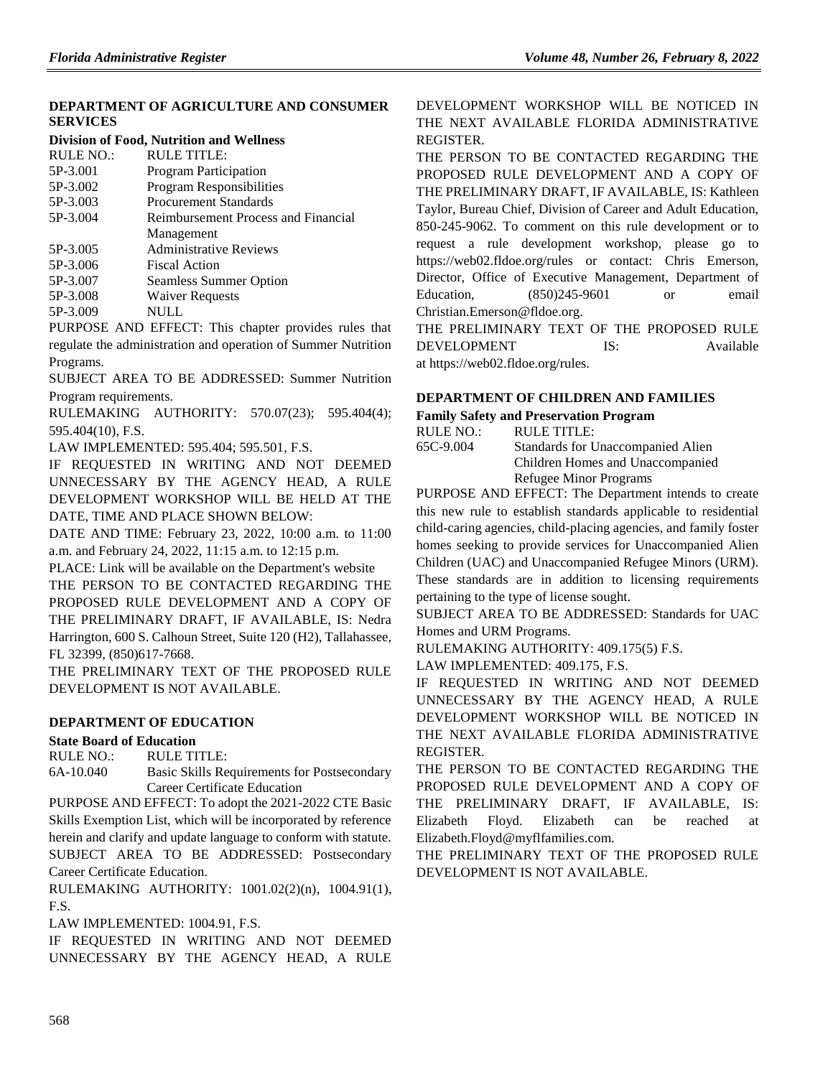# **[DEPARTMENT OF AGRICULTURE AND CONSUMER](https://flrules.org/gateway/department.asp?id=5)  [SERVICES](https://flrules.org/gateway/department.asp?id=5)**

#### **[Division of Food, Nutrition and Wellness](https://flrules.org/gateway/organization.asp?id=1068)**

| <b>RULE NO.:</b> | <b>RULE TITLE:</b>                  |
|------------------|-------------------------------------|
| 5P-3.001         | Program Participation               |
| 5P-3.002         | <b>Program Responsibilities</b>     |
| 5P-3.003         | <b>Procurement Standards</b>        |
| 5P-3.004         | Reimbursement Process and Financial |
|                  | Management                          |
| 5P-3.005         | <b>Administrative Reviews</b>       |
| 5P-3.006         | <b>Fiscal Action</b>                |
| 5P-3.007         | Seamless Summer Option              |
| 5P-3.008         | <b>Waiver Requests</b>              |
| 5P-3.009         | NULL                                |

PURPOSE AND EFFECT: This chapter provides rules that regulate the administration and operation of Summer Nutrition Programs.

SUBJECT AREA TO BE ADDRESSED: Summer Nutrition Program requirements.

RULEMAKING AUTHORITY: [570.07\(23\); 595.404\(4\);](https://flrules.org/gateway/statute.asp?id=570.07(23);%20595.404(4);%20595.404(10))  [595.404\(10\),](https://flrules.org/gateway/statute.asp?id=570.07(23);%20595.404(4);%20595.404(10)) F.S.

LAW IMPLEMENTED: [595.404; 595.501,](https://flrules.org/gateway/statute.asp?id=595.404;%20595.501) F.S.

IF REQUESTED IN WRITING AND NOT DEEMED UNNECESSARY BY THE AGENCY HEAD, A RULE DEVELOPMENT WORKSHOP WILL BE HELD AT THE DATE, TIME AND PLACE SHOWN BELOW:

DATE AND TIME: February 23, 2022, 10:00 a.m. to 11:00 a.m. and February 24, 2022, 11:15 a.m. to 12:15 p.m.

PLACE: Link will be available on the Department's website THE PERSON TO BE CONTACTED REGARDING THE PROPOSED RULE DEVELOPMENT AND A COPY OF THE PRELIMINARY DRAFT, IF AVAILABLE, IS: Nedra Harrington, 600 S. Calhoun Street, Suite 120 (H2), Tallahassee, FL 32399, (850)617-7668.

THE PRELIMINARY TEXT OF THE PROPOSED RULE DEVELOPMENT IS NOT AVAILABLE.

# **[DEPARTMENT OF EDUCATION](https://www.flrules.org/gateway/department.asp?id=6)**

## **[State Board of Education](https://www.flrules.org/gateway/organization.asp?id=195)**

RULE NO.: RULE TITLE:

[6A-10.040](https://www.flrules.org/gateway/ruleNo.asp?id=6A-10.040) Basic Skills Requirements for Postsecondary Career Certificate Education

PURPOSE AND EFFECT: To adopt the 2021-2022 CTE Basic Skills Exemption List, which will be incorporated by reference herein and clarify and update language to conform with statute. SUBJECT AREA TO BE ADDRESSED: Postsecondary Career Certificate Education.

RULEMAKING AUTHORITY: [1001.02\(2\)\(n\),](https://www.flrules.org/gateway/statute.asp?id=1001.02(2)(n)) [1004.91\(1\),](https://www.flrules.org/gateway/statute.asp?id=%201004.91(1)) F.S.

LAW IMPLEMENTED: [1004.91,](https://www.flrules.org/gateway/statute.asp?id=1004.91) F.S.

IF REQUESTED IN WRITING AND NOT DEEMED UNNECESSARY BY THE AGENCY HEAD, A RULE DEVELOPMENT WORKSHOP WILL BE NOTICED IN THE NEXT AVAILABLE FLORIDA ADMINISTRATIVE REGISTER.

THE PERSON TO BE CONTACTED REGARDING THE PROPOSED RULE DEVELOPMENT AND A COPY OF THE PRELIMINARY DRAFT, IF AVAILABLE, IS: Kathleen Taylor, Bureau Chief, Division of Career and Adult Education, 850-245-9062. To comment on this rule development or to request a rule development workshop, please go to https://web02.fldoe.org/rules or contact: Chris Emerson, Director, Office of Executive Management, Department of Education, (850)245-9601 or email Christian.Emerson@fldoe.org.

THE PRELIMINARY TEXT OF THE PROPOSED RULE DEVELOPMENT IS: Available at https://web02.fldoe.org/rules.

## **[DEPARTMENT OF CHILDREN AND FAMILIES](https://www.flrules.org/gateway/department.asp?id=65)**

#### **[Family Safety and Preservation Program](https://www.flrules.org/gateway/organization.asp?id=342)**

| RULE TITLE:                       |
|-----------------------------------|
| Standards for Unaccompanied Alien |
| Children Homes and Unaccompanied  |
| Refugee Minor Programs            |
|                                   |

PURPOSE AND EFFECT: The Department intends to create this new rule to establish standards applicable to residential child-caring agencies, child-placing agencies, and family foster homes seeking to provide services for Unaccompanied Alien Children (UAC) and Unaccompanied Refugee Minors (URM). These standards are in addition to licensing requirements pertaining to the type of license sought.

SUBJECT AREA TO BE ADDRESSED: Standards for UAC Homes and URM Programs.

RULEMAKING AUTHORITY: [409.175\(5\) F.S.](https://www.flrules.org/gateway/statute.asp?id=409.175(5)%20F.S.)

LAW IMPLEMENTED: [409.175,](https://www.flrules.org/gateway/statute.asp?id=409.175) F.S.

IF REQUESTED IN WRITING AND NOT DEEMED UNNECESSARY BY THE AGENCY HEAD, A RULE DEVELOPMENT WORKSHOP WILL BE NOTICED IN THE NEXT AVAILABLE FLORIDA ADMINISTRATIVE REGISTER.

THE PERSON TO BE CONTACTED REGARDING THE PROPOSED RULE DEVELOPMENT AND A COPY OF THE PRELIMINARY DRAFT, IF AVAILABLE, IS: Elizabeth Floyd. Elizabeth can be reached at Elizabeth.Floyd@myflfamilies.com.

THE PRELIMINARY TEXT OF THE PROPOSED RULE DEVELOPMENT IS NOT AVAILABLE.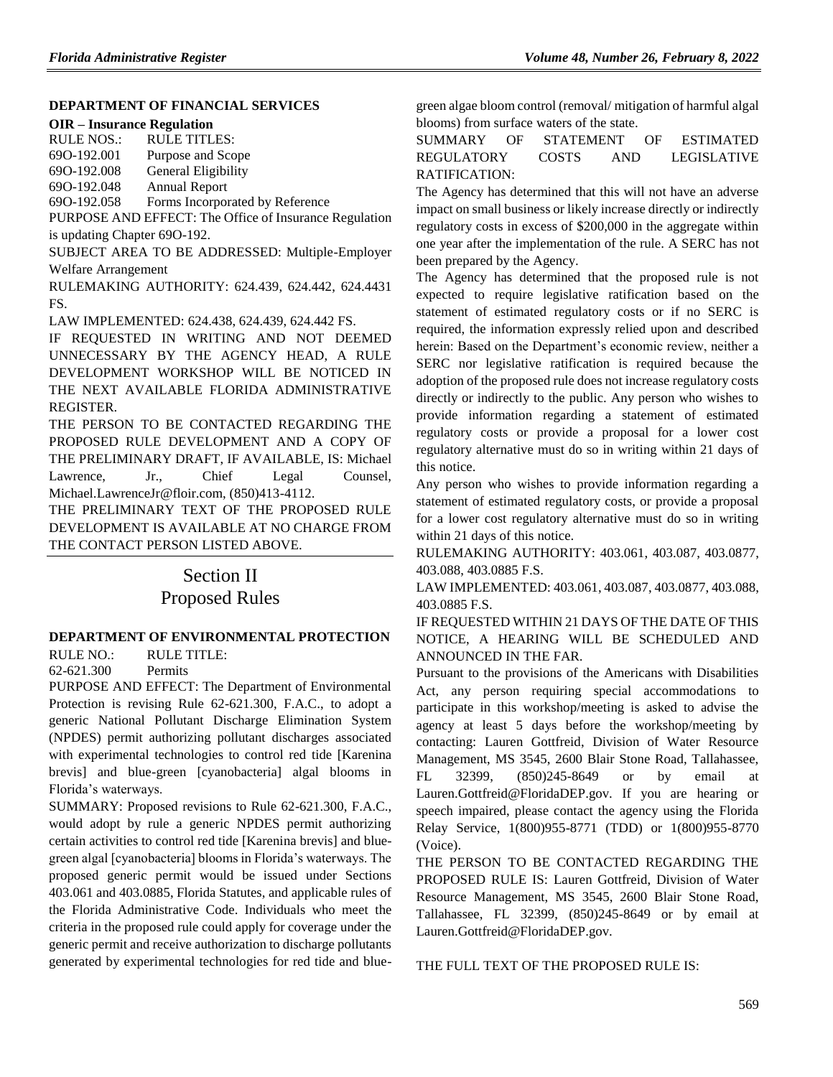# **[DEPARTMENT OF FINANCIAL SERVICES](https://www.flrules.org/gateway/department.asp?id=69)**

RULE NOS.: RULE TITLES:

[69O-192.001](https://www.flrules.org/gateway/ruleNo.asp?id=69O-192.001) Purpose and Scope

[69O-192.008](https://www.flrules.org/gateway/ruleNo.asp?id=69O-192.008) General Eligibility [69O-192.048](https://www.flrules.org/gateway/ruleNo.asp?id=69O-192.048) Annual Report

[69O-192.058](https://www.flrules.org/gateway/ruleNo.asp?id=69O-192.058) Forms Incorporated by Reference

PURPOSE AND EFFECT: The Office of Insurance Regulation is updating Chapter 69O-192.

SUBJECT AREA TO BE ADDRESSED: Multiple-Employer Welfare Arrangement

RULEMAKING AUTHORITY: [624.439,](https://www.flrules.org/gateway/statute.asp?id=624.439) [624.442,](https://www.flrules.org/gateway/statute.asp?id=%20624.442) [624.4431](https://www.flrules.org/gateway/statute.asp?id=%20624.4431%20FS.)  [FS.](https://www.flrules.org/gateway/statute.asp?id=%20624.4431%20FS.)

LAW IMPLEMENTED: [624.438,](https://www.flrules.org/gateway/statute.asp?id=624.438) [624.439,](https://www.flrules.org/gateway/statute.asp?id=%20624.439) [624.442 FS.](https://www.flrules.org/gateway/statute.asp?id=%20624.442%20FS.)

IF REQUESTED IN WRITING AND NOT DEEMED UNNECESSARY BY THE AGENCY HEAD, A RULE DEVELOPMENT WORKSHOP WILL BE NOTICED IN THE NEXT AVAILABLE FLORIDA ADMINISTRATIVE REGISTER.

THE PERSON TO BE CONTACTED REGARDING THE PROPOSED RULE DEVELOPMENT AND A COPY OF THE PRELIMINARY DRAFT, IF AVAILABLE, IS: Michael Lawrence, Jr., Chief Legal Counsel, Michael.LawrenceJr@floir.com, (850)413-4112.

THE PRELIMINARY TEXT OF THE PROPOSED RULE DEVELOPMENT IS AVAILABLE AT NO CHARGE FROM THE CONTACT PERSON LISTED ABOVE.

> Section II Proposed Rules

# **[DEPARTMENT OF ENVIRONMENTAL PROTECTION](https://www.flrules.org/gateway/department.asp?id=62)**

RULE NO.: RULE TITLE:

[62-621.300](https://www.flrules.org/gateway/ruleNo.asp?id=62-621.300) Permits

PURPOSE AND EFFECT: The Department of Environmental Protection is revising Rule 62-621.300, F.A.C., to adopt a generic National Pollutant Discharge Elimination System (NPDES) permit authorizing pollutant discharges associated with experimental technologies to control red tide [Karenina brevis] and blue-green [cyanobacteria] algal blooms in Florida's waterways.

SUMMARY: Proposed revisions to Rule 62-621.300, F.A.C., would adopt by rule a generic NPDES permit authorizing certain activities to control red tide [Karenina brevis] and bluegreen algal [cyanobacteria] blooms in Florida's waterways. The proposed generic permit would be issued under Sections 403.061 and 403.0885, Florida Statutes, and applicable rules of the Florida Administrative Code. Individuals who meet the criteria in the proposed rule could apply for coverage under the generic permit and receive authorization to discharge pollutants generated by experimental technologies for red tide and bluegreen algae bloom control (removal/ mitigation of harmful algal blooms) from surface waters of the state.

# SUMMARY OF STATEMENT OF ESTIMATED REGULATORY COSTS AND LEGISLATIVE RATIFICATION:

The Agency has determined that this will not have an adverse impact on small business or likely increase directly or indirectly regulatory costs in excess of \$200,000 in the aggregate within one year after the implementation of the rule. A SERC has not been prepared by the Agency.

The Agency has determined that the proposed rule is not expected to require legislative ratification based on the statement of estimated regulatory costs or if no SERC is required, the information expressly relied upon and described herein: Based on the Department's economic review, neither a SERC nor legislative ratification is required because the adoption of the proposed rule does not increase regulatory costs directly or indirectly to the public. Any person who wishes to provide information regarding a statement of estimated regulatory costs or provide a proposal for a lower cost regulatory alternative must do so in writing within 21 days of this notice.

Any person who wishes to provide information regarding a statement of estimated regulatory costs, or provide a proposal for a lower cost regulatory alternative must do so in writing within 21 days of this notice.

RULEMAKING AUTHORITY: [403.061,](https://www.flrules.org/gateway/statute.asp?id=403.061) [403.087,](https://www.flrules.org/gateway/statute.asp?id=%20403.087) [403.0877,](https://www.flrules.org/gateway/statute.asp?id=%20403.0877) [403.088,](https://www.flrules.org/gateway/statute.asp?id=403.088) [403.0885 F.S.](https://www.flrules.org/gateway/statute.asp?id=%20403.0885%20F.S.)

LAW IMPLEMENTED[: 403.061,](https://www.flrules.org/gateway/statute.asp?id=403.061) [403.087,](https://www.flrules.org/gateway/statute.asp?id=%20403.087) [403.0877,](https://www.flrules.org/gateway/statute.asp?id=%20403.0877) [403.088,](https://www.flrules.org/gateway/statute.asp?id=%20403.088) [403.0885 F.S.](https://www.flrules.org/gateway/statute.asp?id=%20403.0885%20F.S.)

IF REQUESTED WITHIN 21 DAYS OF THE DATE OF THIS NOTICE, A HEARING WILL BE SCHEDULED AND ANNOUNCED IN THE FAR.

Pursuant to the provisions of the Americans with Disabilities Act, any person requiring special accommodations to participate in this workshop/meeting is asked to advise the agency at least 5 days before the workshop/meeting by contacting: Lauren Gottfreid, Division of Water Resource Management, MS 3545, 2600 Blair Stone Road, Tallahassee, FL 32399, (850)245-8649 or by email at Lauren.Gottfreid@FloridaDEP.gov. If you are hearing or speech impaired, please contact the agency using the Florida Relay Service, 1(800)955-8771 (TDD) or 1(800)955-8770 (Voice).

THE PERSON TO BE CONTACTED REGARDING THE PROPOSED RULE IS: Lauren Gottfreid, Division of Water Resource Management, MS 3545, 2600 Blair Stone Road, Tallahassee, FL 32399, (850)245-8649 or by email at Lauren.Gottfreid@FloridaDEP.gov.

THE FULL TEXT OF THE PROPOSED RULE IS: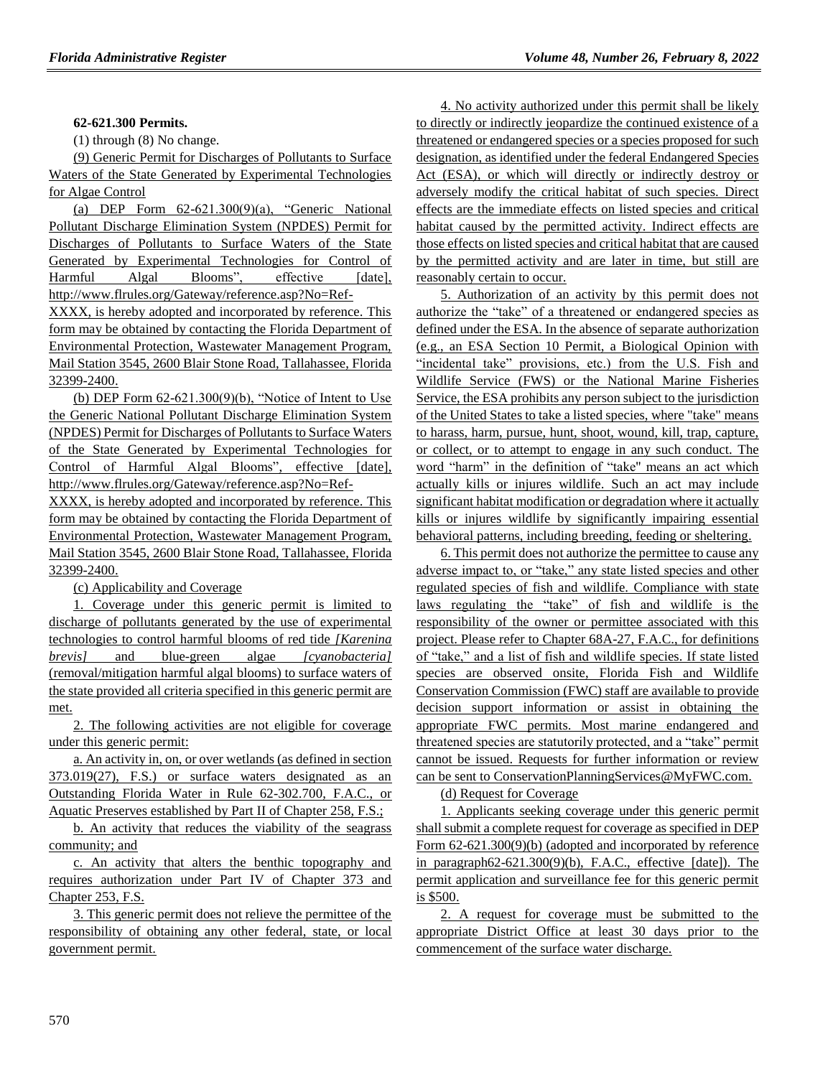#### **62-621.300 Permits.**

(1) through (8) No change.

(9) Generic Permit for Discharges of Pollutants to Surface Waters of the State Generated by Experimental Technologies for Algae Control

(a) DEP Form 62-621.300(9)(a), "Generic National Pollutant Discharge Elimination System (NPDES) Permit for Discharges of Pollutants to Surface Waters of the State Generated by Experimental Technologies for Control of Harmful Algal Blooms", effective [date], http://www.flrules.org/Gateway/reference.asp?No=Ref-

XXXX, is hereby adopted and incorporated by reference. This form may be obtained by contacting the Florida Department of Environmental Protection, Wastewater Management Program, Mail Station 3545, 2600 Blair Stone Road, Tallahassee, Florida 32399-2400.

(b) DEP Form 62-621.300(9)(b), "Notice of Intent to Use the Generic National Pollutant Discharge Elimination System (NPDES) Permit for Discharges of Pollutants to Surface Waters of the State Generated by Experimental Technologies for Control of Harmful Algal Blooms", effective [date], http://www.flrules.org/Gateway/reference.asp?No=Ref-

XXXX, is hereby adopted and incorporated by reference. This form may be obtained by contacting the Florida Department of Environmental Protection, Wastewater Management Program, Mail Station 3545, 2600 Blair Stone Road, Tallahassee, Florida 32399-2400.

(c) Applicability and Coverage

1. Coverage under this generic permit is limited to discharge of pollutants generated by the use of experimental technologies to control harmful blooms of red tide *[Karenina brevis]* and blue-green algae *[cyanobacteria]* (removal/mitigation harmful algal blooms) to surface waters of the state provided all criteria specified in this generic permit are met.

2. The following activities are not eligible for coverage under this generic permit:

a. An activity in, on, or over wetlands (as defined in section 373.019(27), F.S.) or surface waters designated as an Outstanding Florida Water in Rule 62-302.700, F.A.C., or Aquatic Preserves established by Part II of Chapter 258, F.S.;

b. An activity that reduces the viability of the seagrass community; and

c. An activity that alters the benthic topography and requires authorization under Part IV of Chapter 373 and Chapter 253, F.S.

3. This generic permit does not relieve the permittee of the responsibility of obtaining any other federal, state, or local government permit.

4. No activity authorized under this permit shall be likely to directly or indirectly jeopardize the continued existence of a threatened or endangered species or a species proposed for such designation, as identified under the federal Endangered Species Act (ESA), or which will directly or indirectly destroy or adversely modify the critical habitat of such species. Direct effects are the immediate effects on listed species and critical habitat caused by the permitted activity. Indirect effects are those effects on listed species and critical habitat that are caused by the permitted activity and are later in time, but still are reasonably certain to occur.

5. Authorization of an activity by this permit does not authorize the "take" of a threatened or endangered species as defined under the ESA. In the absence of separate authorization (e.g., an ESA Section 10 Permit, a Biological Opinion with "incidental take" provisions, etc.) from the U.S. Fish and Wildlife Service (FWS) or the National Marine Fisheries Service, the ESA prohibits any person subject to the jurisdiction of the United States to take a listed species, where "take" means to harass, harm, pursue, hunt, shoot, wound, kill, trap, capture, or collect, or to attempt to engage in any such conduct. The word "harm" in the definition of "take'' means an act which actually kills or injures wildlife. Such an act may include significant habitat modification or degradation where it actually kills or injures wildlife by significantly impairing essential behavioral patterns, including breeding, feeding or sheltering.

6. This permit does not authorize the permittee to cause any adverse impact to, or "take," any state listed species and other regulated species of fish and wildlife. Compliance with state laws regulating the "take" of fish and wildlife is the responsibility of the owner or permittee associated with this project. Please refer to Chapter 68A-27, F.A.C., for definitions of "take," and a list of fish and wildlife species. If state listed species are observed onsite, Florida Fish and Wildlife Conservation Commission (FWC) staff are available to provide decision support information or assist in obtaining the appropriate FWC permits. Most marine endangered and threatened species are statutorily protected, and a "take" permit cannot be issued. Requests for further information or review can be sent to ConservationPlanningServices@MyFWC.com.

(d) Request for Coverage

1. Applicants seeking coverage under this generic permit shall submit a complete request for coverage as specified in DEP Form 62-621.300(9)(b) (adopted and incorporated by reference in paragraph62-621.300(9)(b), F.A.C., effective [date]). The permit application and surveillance fee for this generic permit is \$500.

2. A request for coverage must be submitted to the appropriate District Office at least 30 days prior to the commencement of the surface water discharge.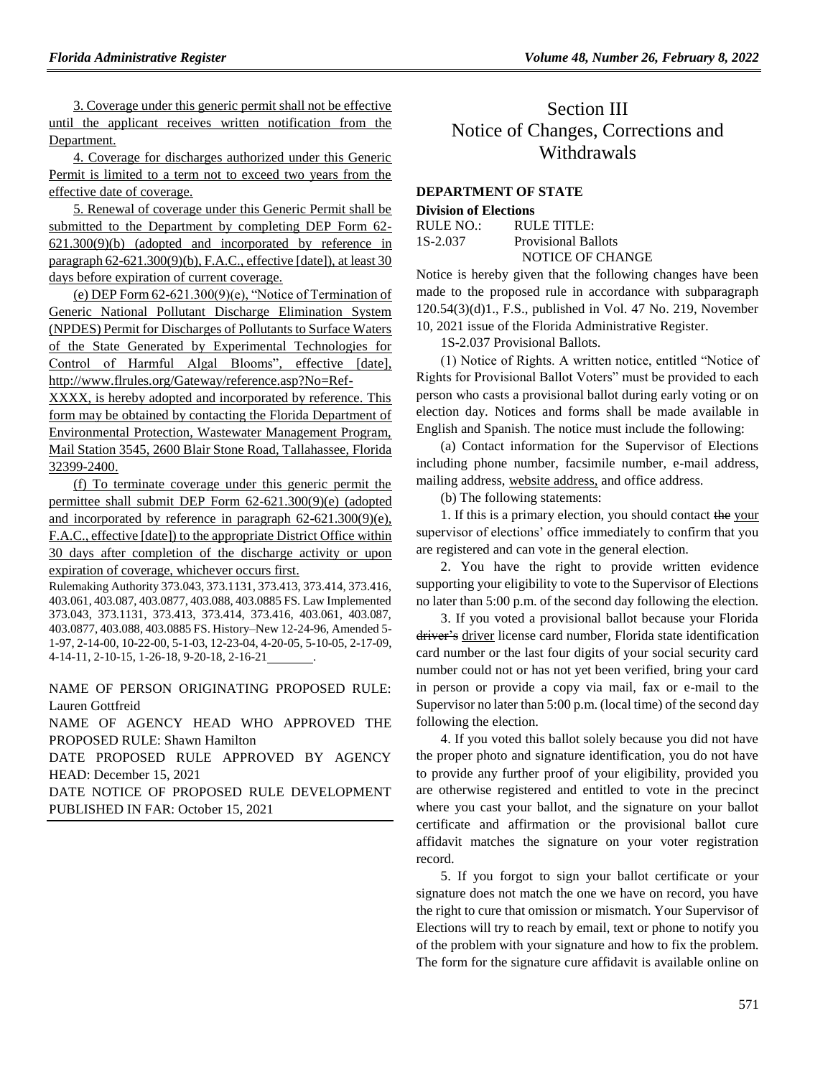3. Coverage under this generic permit shall not be effective until the applicant receives written notification from the Department.

4. Coverage for discharges authorized under this Generic Permit is limited to a term not to exceed two years from the effective date of coverage.

5. Renewal of coverage under this Generic Permit shall be submitted to the Department by completing DEP Form 62- 621.300(9)(b) (adopted and incorporated by reference in paragraph 62-621.300(9)(b), F.A.C., effective [date]), at least 30 days before expiration of current coverage.

(e) DEP Form  $62-621.300(9)$ (e), "Notice of Termination of Generic National Pollutant Discharge Elimination System (NPDES) Permit for Discharges of Pollutants to Surface Waters of the State Generated by Experimental Technologies for Control of Harmful Algal Blooms", effective [date], http://www.flrules.org/Gateway/reference.asp?No=Ref-

XXXX, is hereby adopted and incorporated by reference. This form may be obtained by contacting the Florida Department of Environmental Protection, Wastewater Management Program, Mail Station 3545, 2600 Blair Stone Road, Tallahassee, Florida 32399-2400.

(f) To terminate coverage under this generic permit the permittee shall submit DEP Form 62-621.300(9)(e) (adopted and incorporated by reference in paragraph 62-621.300(9)(e), F.A.C., effective [date]) to the appropriate District Office within 30 days after completion of the discharge activity or upon expiration of coverage, whichever occurs first.

Rulemaking Authority 373.043, 373.1131, 373.413, 373.414, 373.416, 403.061, 403.087, 403.0877, 403.088, 403.0885 FS. Law Implemented 373.043, 373.1131, 373.413, 373.414, 373.416, 403.061, 403.087, 403.0877, 403.088, 403.0885 FS. History–New 12-24-96, Amended 5- 1-97, 2-14-00, 10-22-00, 5-1-03, 12-23-04, 4-20-05, 5-10-05, 2-17-09, 4-14-11, 2-10-15, 1-26-18, 9-20-18, 2-16-21 .

NAME OF PERSON ORIGINATING PROPOSED RULE: Lauren Gottfreid

NAME OF AGENCY HEAD WHO APPROVED THE PROPOSED RULE: Shawn Hamilton

DATE PROPOSED RULE APPROVED BY AGENCY HEAD: December 15, 2021

DATE NOTICE OF PROPOSED RULE DEVELOPMENT PUBLISHED IN FAR: October 15, 2021

# Section III Notice of Changes, Corrections and Withdrawals

# **[DEPARTMENT OF STATE](https://www.flrules.org/gateway/department.asp?id=1)**

#### **[Division of Elections](https://www.flrules.org/gateway/organization.asp?id=16)**

| RULE NO.: | $R$ ULE TITLE:             |
|-----------|----------------------------|
| 1S-2.037  | <b>Provisional Ballots</b> |
|           | NOTICE OF CHANGE           |

Notice is hereby given that the following changes have been made to the proposed rule in accordance with subparagraph 120.54(3)(d)1., F.S., published in Vol. 47 No. 219, November 10, 2021 issue of the Florida Administrative Register.

1S-2.037 Provisional Ballots.

(1) Notice of Rights. A written notice, entitled "Notice of Rights for Provisional Ballot Voters" must be provided to each person who casts a provisional ballot during early voting or on election day. Notices and forms shall be made available in English and Spanish. The notice must include the following:

(a) Contact information for the Supervisor of Elections including phone number, facsimile number, e-mail address, mailing address, website address, and office address.

(b) The following statements:

1. If this is a primary election, you should contact the your supervisor of elections' office immediately to confirm that you are registered and can vote in the general election.

2. You have the right to provide written evidence supporting your eligibility to vote to the Supervisor of Elections no later than 5:00 p.m. of the second day following the election.

3. If you voted a provisional ballot because your Florida driver's driver license card number, Florida state identification card number or the last four digits of your social security card number could not or has not yet been verified, bring your card in person or provide a copy via mail, fax or e-mail to the Supervisor no later than 5:00 p.m. (local time) of the second day following the election.

4. If you voted this ballot solely because you did not have the proper photo and signature identification, you do not have to provide any further proof of your eligibility, provided you are otherwise registered and entitled to vote in the precinct where you cast your ballot, and the signature on your ballot certificate and affirmation or the provisional ballot cure affidavit matches the signature on your voter registration record.

5. If you forgot to sign your ballot certificate or your signature does not match the one we have on record, you have the right to cure that omission or mismatch. Your Supervisor of Elections will try to reach by email, text or phone to notify you of the problem with your signature and how to fix the problem. The form for the signature cure affidavit is available online on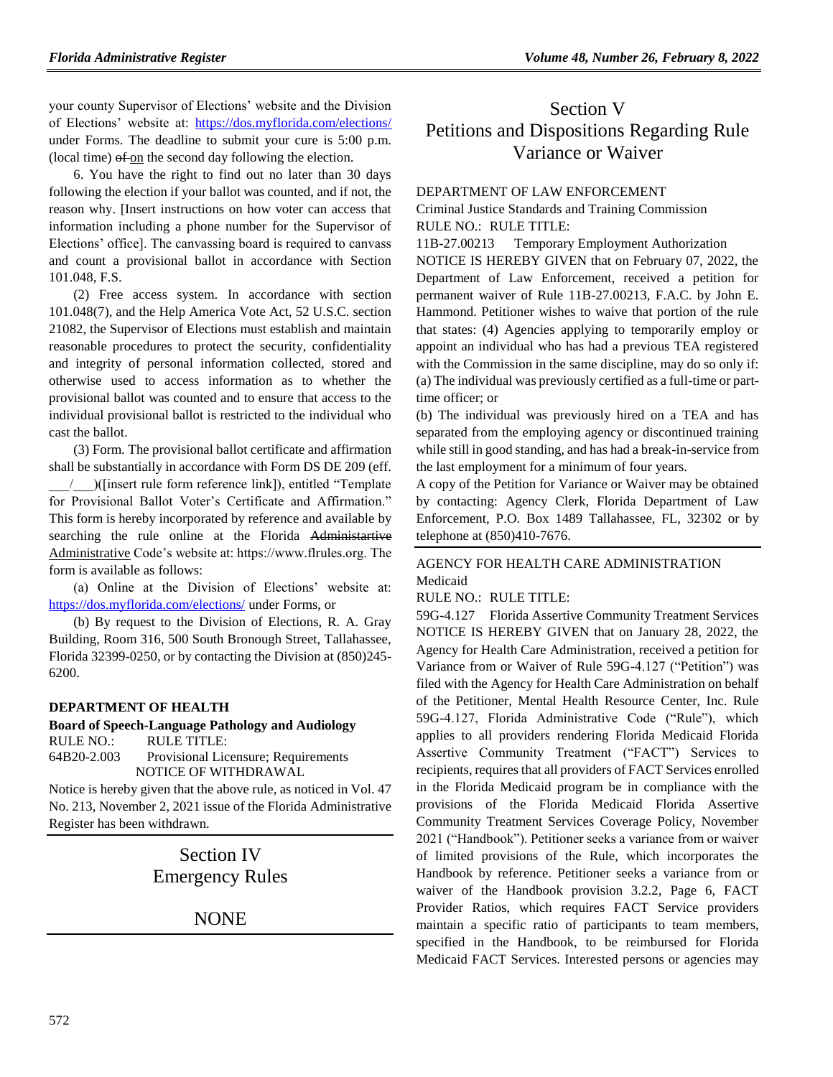your county Supervisor of Elections' website and the Division of Elections' website at:<https://dos.myflorida.com/elections/> under Forms. The deadline to submit your cure is 5:00 p.m. (local time) of on the second day following the election.

6. You have the right to find out no later than 30 days following the election if your ballot was counted, and if not, the reason why. [Insert instructions on how voter can access that information including a phone number for the Supervisor of Elections' office]. The canvassing board is required to canvass and count a provisional ballot in accordance with Section 101.048, F.S.

(2) Free access system. In accordance with section 101.048(7), and the Help America Vote Act, 52 U.S.C. section 21082, the Supervisor of Elections must establish and maintain reasonable procedures to protect the security, confidentiality and integrity of personal information collected, stored and otherwise used to access information as to whether the provisional ballot was counted and to ensure that access to the individual provisional ballot is restricted to the individual who cast the ballot.

(3) Form. The provisional ballot certificate and affirmation shall be substantially in accordance with Form DS DE 209 (eff. \_\_\_/\_\_\_)([insert rule form reference link]), entitled "Template for Provisional Ballot Voter's Certificate and Affirmation." This form is hereby incorporated by reference and available by searching the rule online at the Florida Administartive Administrative Code's website at: https://www.flrules.org. The form is available as follows:

(a) Online at the Division of Elections' website at: <https://dos.myflorida.com/elections/> under Forms, or

(b) By request to the Division of Elections, R. A. Gray Building, Room 316, 500 South Bronough Street, Tallahassee, Florida 32399-0250, or by contacting the Division at (850)245- 6200.

## **[DEPARTMENT OF HEALTH](https://www.flrules.org/gateway/department.asp?id=64)**

**[Board of Speech-Language Pathology and Audiology](https://www.flrules.org/gateway/organization.asp?id=312)** RULE NO.: RULE TITLE: [64B20-2.003](https://www.flrules.org/gateway/ruleNo.asp?id=64B20-2.003) Provisional Licensure; Requirements

NOTICE OF WITHDRAWAL

Notice is hereby given that the above rule, as noticed in Vol. 47 No. 213, November 2, 2021 issue of the Florida Administrative Register has been withdrawn.

# Section IV Emergency Rules

# **NONE**

# Section V Petitions and Dispositions Regarding Rule Variance or Waiver

#### [DEPARTMENT OF LAW ENFORCEMENT](https://www.flrules.org/gateway/department.asp?id=11)

[Criminal Justice Standards and Training Commission](https://www.flrules.org/gateway/organization.asp?id=20) RULE NO.: RULE TITLE:

[11B-27.00213](https://www.flrules.org/gateway/ruleNo.asp?id=11B-27.00213) Temporary Employment Authorization

NOTICE IS HEREBY GIVEN that on February 07, 2022, the Department of Law Enforcement, received a petition for permanent waiver of Rule 11B-27.00213, F.A.C. by John E. Hammond. Petitioner wishes to waive that portion of the rule that states: (4) Agencies applying to temporarily employ or appoint an individual who has had a previous TEA registered with the Commission in the same discipline, may do so only if: (a) The individual was previously certified as a full-time or parttime officer; or

(b) The individual was previously hired on a TEA and has separated from the employing agency or discontinued training while still in good standing, and has had a break-in-service from the last employment for a minimum of four years.

A copy of the Petition for Variance or Waiver may be obtained by contacting: Agency Clerk, Florida Department of Law Enforcement, P.O. Box 1489 Tallahassee, FL, 32302 or by telephone at (850)410-7676.

## [AGENCY FOR HEALTH CARE ADMINISTRATION](https://www.flrules.org/gateway/department.asp?id=59) [Medicaid](https://www.flrules.org/gateway/organization.asp?id=192)

RULE NO.: RULE TITLE:

[59G-4.127](https://www.flrules.org/gateway/ruleNo.asp?id=59G-4.127) Florida Assertive Community Treatment Services NOTICE IS HEREBY GIVEN that on January 28, 2022, the Agency for Health Care Administration, received a petition for Variance from or Waiver of Rule 59G-4.127 ("Petition") was filed with the Agency for Health Care Administration on behalf of the Petitioner, Mental Health Resource Center, Inc. Rule 59G-4.127, Florida Administrative Code ("Rule"), which applies to all providers rendering Florida Medicaid Florida Assertive Community Treatment ("FACT") Services to recipients, requires that all providers of FACT Services enrolled in the Florida Medicaid program be in compliance with the provisions of the Florida Medicaid Florida Assertive Community Treatment Services Coverage Policy, November 2021 ("Handbook"). Petitioner seeks a variance from or waiver of limited provisions of the Rule, which incorporates the Handbook by reference. Petitioner seeks a variance from or waiver of the Handbook provision 3.2.2, Page 6, FACT Provider Ratios, which requires FACT Service providers maintain a specific ratio of participants to team members, specified in the Handbook, to be reimbursed for Florida Medicaid FACT Services. Interested persons or agencies may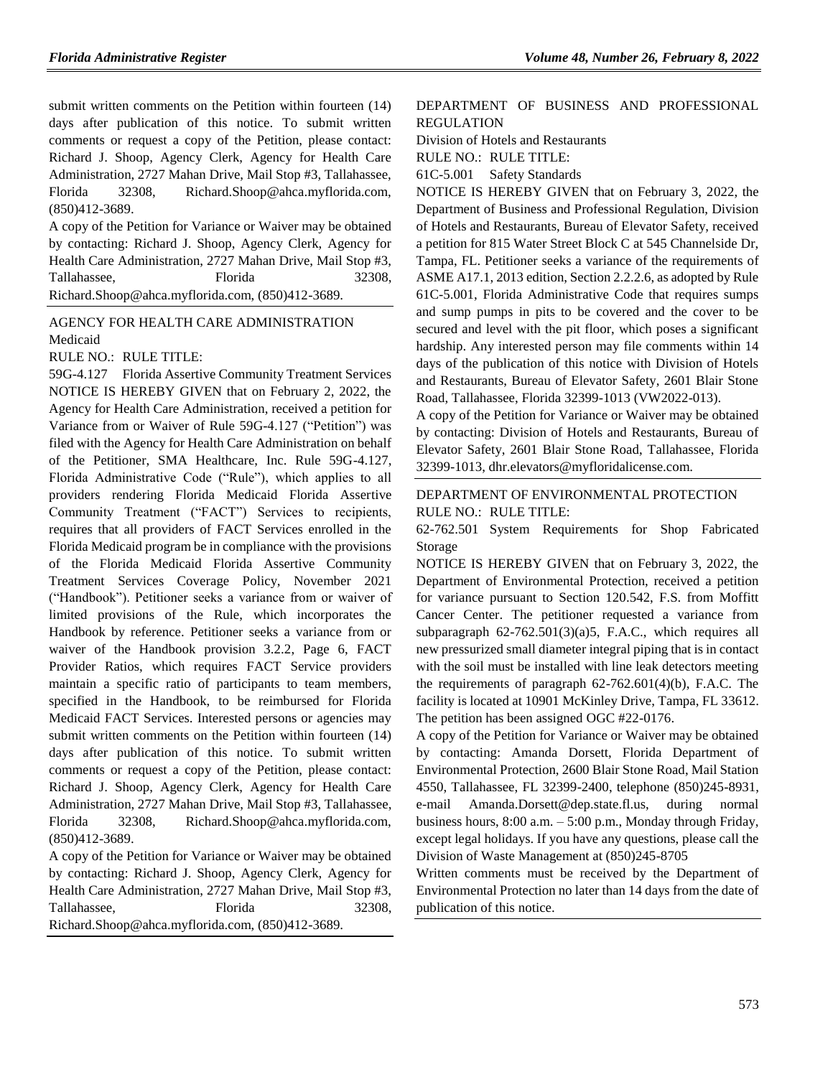submit written comments on the Petition within fourteen (14) days after publication of this notice. To submit written comments or request a copy of the Petition, please contact: Richard J. Shoop, Agency Clerk, Agency for Health Care Administration, 2727 Mahan Drive, Mail Stop #3, Tallahassee, Florida 32308, Richard.Shoop@ahca.myflorida.com, (850)412-3689.

A copy of the Petition for Variance or Waiver may be obtained by contacting: Richard J. Shoop, Agency Clerk, Agency for Health Care Administration, 2727 Mahan Drive, Mail Stop #3, Tallahassee, Florida 32308, Richard.Shoop@ahca.myflorida.com, (850)412-3689.

# [AGENCY FOR HEALTH CARE ADMINISTRATION](https://www.flrules.org/gateway/department.asp?id=59) [Medicaid](https://www.flrules.org/gateway/organization.asp?id=192)

RULE NO.: RULE TITLE:

[59G-4.127](https://www.flrules.org/gateway/ruleNo.asp?id=59G-4.127) Florida Assertive Community Treatment Services NOTICE IS HEREBY GIVEN that on February 2, 2022, the Agency for Health Care Administration, received a petition for Variance from or Waiver of Rule 59G-4.127 ("Petition") was filed with the Agency for Health Care Administration on behalf of the Petitioner, SMA Healthcare, Inc. Rule 59G-4.127, Florida Administrative Code ("Rule"), which applies to all providers rendering Florida Medicaid Florida Assertive Community Treatment ("FACT") Services to recipients, requires that all providers of FACT Services enrolled in the Florida Medicaid program be in compliance with the provisions of the Florida Medicaid Florida Assertive Community Treatment Services Coverage Policy, November 2021 ("Handbook"). Petitioner seeks a variance from or waiver of limited provisions of the Rule, which incorporates the Handbook by reference. Petitioner seeks a variance from or waiver of the Handbook provision 3.2.2, Page 6, FACT Provider Ratios, which requires FACT Service providers maintain a specific ratio of participants to team members, specified in the Handbook, to be reimbursed for Florida Medicaid FACT Services. Interested persons or agencies may submit written comments on the Petition within fourteen (14) days after publication of this notice. To submit written comments or request a copy of the Petition, please contact: Richard J. Shoop, Agency Clerk, Agency for Health Care Administration, 2727 Mahan Drive, Mail Stop #3, Tallahassee, Florida 32308, Richard.Shoop@ahca.myflorida.com, (850)412-3689.

A copy of the Petition for Variance or Waiver may be obtained by contacting: Richard J. Shoop, Agency Clerk, Agency for Health Care Administration, 2727 Mahan Drive, Mail Stop #3, Tallahassee. Florida 32308. Richard.Shoop@ahca.myflorida.com, (850)412-3689.

## [DEPARTMENT OF BUSINESS AND PROFESSIONAL](https://www.flrules.org/gateway/department.asp?id=61)  [REGULATION](https://www.flrules.org/gateway/department.asp?id=61)

[Division of Hotels and Restaurants](https://www.flrules.org/gateway/organization.asp?id=249)

RULE NO.: RULE TITLE:

[61C-5.001](https://www.flrules.org/gateway/ruleNo.asp?id=61C-5.001) Safety Standards

NOTICE IS HEREBY GIVEN that on February 3, 2022, the Department of Business and Professional Regulation, Division of Hotels and Restaurants, Bureau of Elevator Safety, received a petition for 815 Water Street Block C at 545 Channelside Dr, Tampa, FL. Petitioner seeks a variance of the requirements of ASME A17.1, 2013 edition, Section 2.2.2.6, as adopted by Rule 61C-5.001, Florida Administrative Code that requires sumps and sump pumps in pits to be covered and the cover to be secured and level with the pit floor, which poses a significant hardship. Any interested person may file comments within 14 days of the publication of this notice with Division of Hotels and Restaurants, Bureau of Elevator Safety, 2601 Blair Stone Road, Tallahassee, Florida 32399-1013 (VW2022-013).

A copy of the Petition for Variance or Waiver may be obtained by contacting: Division of Hotels and Restaurants, Bureau of Elevator Safety, 2601 Blair Stone Road, Tallahassee, Florida 32399-1013, dhr.elevators@myfloridalicense.com.

### [DEPARTMENT OF ENVIRONMENTAL PROTECTION](https://www.flrules.org/gateway/department.asp?id=62) RULE NO.: RULE TITLE:

[62-762.501](https://www.flrules.org/gateway/ruleNo.asp?id=62-762.501) System Requirements for Shop Fabricated Storage

NOTICE IS HEREBY GIVEN that on February 3, 2022, the Department of Environmental Protection, received a petition for variance pursuant to Section 120.542, F.S. from Moffitt Cancer Center. The petitioner requested a variance from subparagraph 62-762.501(3)(a)5, F.A.C., which requires all new pressurized small diameter integral piping that is in contact with the soil must be installed with line leak detectors meeting the requirements of paragraph 62-762.601(4)(b), F.A.C. The facility is located at 10901 McKinley Drive, Tampa, FL 33612. The petition has been assigned OGC #22-0176.

A copy of the Petition for Variance or Waiver may be obtained by contacting: Amanda Dorsett, Florida Department of Environmental Protection, 2600 Blair Stone Road, Mail Station 4550, Tallahassee, FL 32399-2400, telephone (850)245-8931, e-mail Amanda.Dorsett@dep.state.fl.us, during normal business hours,  $8:00$  a.m.  $-5:00$  p.m., Monday through Friday, except legal holidays. If you have any questions, please call the Division of Waste Management at (850)245-8705

Written comments must be received by the Department of Environmental Protection no later than 14 days from the date of publication of this notice.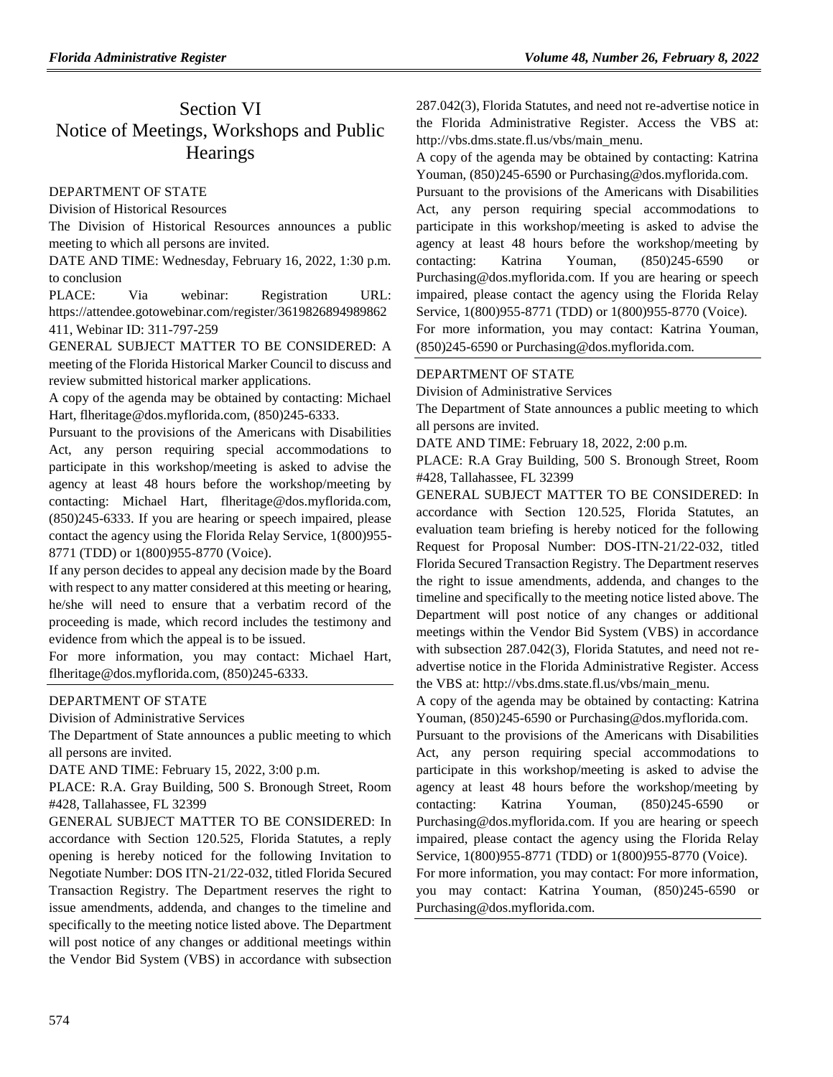# Section VI Notice of Meetings, Workshops and Public **Hearings**

# [DEPARTMENT OF STATE](https://www.flrules.org/gateway/department.asp?id=1)

[Division of Historical Resources](https://www.flrules.org/gateway/organization.asp?id=1)

The Division of Historical Resources announces a public meeting to which all persons are invited.

DATE AND TIME: Wednesday, February 16, 2022, 1:30 p.m. to conclusion

PLACE: Via webinar: Registration URL: https://attendee.gotowebinar.com/register/3619826894989862 411, Webinar ID: 311-797-259

GENERAL SUBJECT MATTER TO BE CONSIDERED: A meeting of the Florida Historical Marker Council to discuss and review submitted historical marker applications.

A copy of the agenda may be obtained by contacting: Michael Hart, flheritage@dos.myflorida.com, (850)245-6333.

Pursuant to the provisions of the Americans with Disabilities Act, any person requiring special accommodations to participate in this workshop/meeting is asked to advise the agency at least 48 hours before the workshop/meeting by contacting: Michael Hart, flheritage@dos.myflorida.com, (850)245-6333. If you are hearing or speech impaired, please contact the agency using the Florida Relay Service, 1(800)955- 8771 (TDD) or 1(800)955-8770 (Voice).

If any person decides to appeal any decision made by the Board with respect to any matter considered at this meeting or hearing, he/she will need to ensure that a verbatim record of the proceeding is made, which record includes the testimony and evidence from which the appeal is to be issued.

For more information, you may contact: Michael Hart, flheritage@dos.myflorida.com, (850)245-6333.

## [DEPARTMENT OF STATE](https://www.flrules.org/gateway/department.asp?id=1)

[Division of Administrative Services](https://www.flrules.org/gateway/organization.asp?id=1420)

The Department of State announces a public meeting to which all persons are invited.

DATE AND TIME: February 15, 2022, 3:00 p.m.

PLACE: R.A. Gray Building, 500 S. Bronough Street, Room #428, Tallahassee, FL 32399

GENERAL SUBJECT MATTER TO BE CONSIDERED: In accordance with Section 120.525, Florida Statutes, a reply opening is hereby noticed for the following Invitation to Negotiate Number: DOS ITN-21/22-032, titled Florida Secured Transaction Registry. The Department reserves the right to issue amendments, addenda, and changes to the timeline and specifically to the meeting notice listed above. The Department will post notice of any changes or additional meetings within the Vendor Bid System (VBS) in accordance with subsection 287.042(3), Florida Statutes, and need not re-advertise notice in the Florida Administrative Register. Access the VBS at: http://vbs.dms.state.fl.us/vbs/main\_menu.

A copy of the agenda may be obtained by contacting: Katrina Youman, (850)245-6590 or Purchasing@dos.myflorida.com.

Pursuant to the provisions of the Americans with Disabilities Act, any person requiring special accommodations to participate in this workshop/meeting is asked to advise the agency at least 48 hours before the workshop/meeting by contacting: Katrina Youman, (850)245-6590 or Purchasing@dos.myflorida.com. If you are hearing or speech impaired, please contact the agency using the Florida Relay Service, 1(800)955-8771 (TDD) or 1(800)955-8770 (Voice).

For more information, you may contact: Katrina Youman, (850)245-6590 or Purchasing@dos.myflorida.com.

# [DEPARTMENT OF STATE](https://www.flrules.org/gateway/department.asp?id=1)

[Division of Administrative Services](https://www.flrules.org/gateway/organization.asp?id=1420)

The Department of State announces a public meeting to which all persons are invited.

DATE AND TIME: February 18, 2022, 2:00 p.m.

PLACE: R.A Gray Building, 500 S. Bronough Street, Room #428, Tallahassee, FL 32399

GENERAL SUBJECT MATTER TO BE CONSIDERED: In accordance with Section 120.525, Florida Statutes, an evaluation team briefing is hereby noticed for the following Request for Proposal Number: DOS-ITN-21/22-032, titled Florida Secured Transaction Registry. The Department reserves the right to issue amendments, addenda, and changes to the timeline and specifically to the meeting notice listed above. The Department will post notice of any changes or additional meetings within the Vendor Bid System (VBS) in accordance with subsection 287.042(3), Florida Statutes, and need not readvertise notice in the Florida Administrative Register. Access the VBS at: http://vbs.dms.state.fl.us/vbs/main\_menu.

A copy of the agenda may be obtained by contacting: Katrina Youman, (850)245-6590 or Purchasing@dos.myflorida.com.

Pursuant to the provisions of the Americans with Disabilities Act, any person requiring special accommodations to participate in this workshop/meeting is asked to advise the agency at least 48 hours before the workshop/meeting by contacting: Katrina Youman, (850)245-6590 or Purchasing@dos.myflorida.com. If you are hearing or speech impaired, please contact the agency using the Florida Relay Service, 1(800)955-8771 (TDD) or 1(800)955-8770 (Voice).

For more information, you may contact: For more information, you may contact: Katrina Youman, (850)245-6590 or Purchasing@dos.myflorida.com.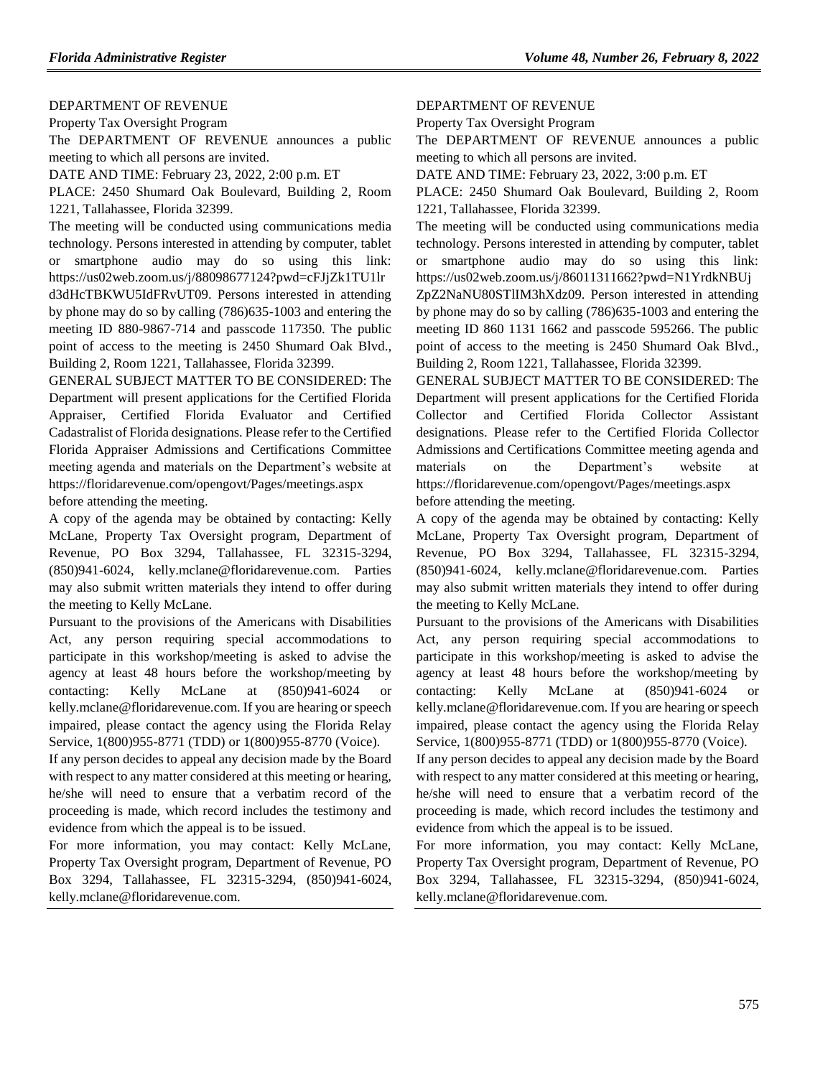#### [DEPARTMENT OF REVENUE](https://www.flrules.org/gateway/department.asp?id=12)

[Property Tax Oversight Program](https://www.flrules.org/gateway/organization.asp?id=36)

The DEPARTMENT OF REVENUE announces a public meeting to which all persons are invited.

DATE AND TIME: February 23, 2022, 2:00 p.m. ET

PLACE: 2450 Shumard Oak Boulevard, Building 2, Room 1221, Tallahassee, Florida 32399.

The meeting will be conducted using communications media technology. Persons interested in attending by computer, tablet or smartphone audio may do so using this link: https://us02web.zoom.us/j/88098677124?pwd=cFJjZk1TU1lr d3dHcTBKWU5IdFRvUT09. Persons interested in attending by phone may do so by calling (786)635-1003 and entering the meeting ID 880-9867-714 and passcode 117350. The public point of access to the meeting is 2450 Shumard Oak Blvd., Building 2, Room 1221, Tallahassee, Florida 32399.

GENERAL SUBJECT MATTER TO BE CONSIDERED: The Department will present applications for the Certified Florida Appraiser, Certified Florida Evaluator and Certified Cadastralist of Florida designations. Please refer to the Certified Florida Appraiser Admissions and Certifications Committee meeting agenda and materials on the Department's website at https://floridarevenue.com/opengovt/Pages/meetings.aspx

before attending the meeting.

A copy of the agenda may be obtained by contacting: Kelly McLane, Property Tax Oversight program, Department of Revenue, PO Box 3294, Tallahassee, FL 32315-3294, (850)941-6024, kelly.mclane@floridarevenue.com. Parties may also submit written materials they intend to offer during the meeting to Kelly McLane.

Pursuant to the provisions of the Americans with Disabilities Act, any person requiring special accommodations to participate in this workshop/meeting is asked to advise the agency at least 48 hours before the workshop/meeting by contacting: Kelly McLane at (850)941-6024 or kelly.mclane@floridarevenue.com. If you are hearing or speech impaired, please contact the agency using the Florida Relay Service, 1(800)955-8771 (TDD) or 1(800)955-8770 (Voice).

If any person decides to appeal any decision made by the Board with respect to any matter considered at this meeting or hearing, he/she will need to ensure that a verbatim record of the proceeding is made, which record includes the testimony and evidence from which the appeal is to be issued.

For more information, you may contact: Kelly McLane, Property Tax Oversight program, Department of Revenue, PO Box 3294, Tallahassee, FL 32315-3294, (850)941-6024, kelly.mclane@floridarevenue.com.

#### [DEPARTMENT OF REVENUE](https://www.flrules.org/gateway/department.asp?id=12)

[Property Tax Oversight Program](https://www.flrules.org/gateway/organization.asp?id=36)

The DEPARTMENT OF REVENUE announces a public meeting to which all persons are invited.

DATE AND TIME: February 23, 2022, 3:00 p.m. ET

PLACE: 2450 Shumard Oak Boulevard, Building 2, Room 1221, Tallahassee, Florida 32399.

The meeting will be conducted using communications media technology. Persons interested in attending by computer, tablet or smartphone audio may do so using this link: https://us02web.zoom.us/j/86011311662?pwd=N1YrdkNBUj ZpZ2NaNU80STlIM3hXdz09. Person interested in attending by phone may do so by calling (786)635-1003 and entering the meeting ID 860 1131 1662 and passcode 595266. The public point of access to the meeting is 2450 Shumard Oak Blvd., Building 2, Room 1221, Tallahassee, Florida 32399.

GENERAL SUBJECT MATTER TO BE CONSIDERED: The Department will present applications for the Certified Florida Collector and Certified Florida Collector Assistant designations. Please refer to the Certified Florida Collector Admissions and Certifications Committee meeting agenda and materials on the Department's website at https://floridarevenue.com/opengovt/Pages/meetings.aspx before attending the meeting.

A copy of the agenda may be obtained by contacting: Kelly McLane, Property Tax Oversight program, Department of Revenue, PO Box 3294, Tallahassee, FL 32315-3294, (850)941-6024, kelly.mclane@floridarevenue.com. Parties may also submit written materials they intend to offer during the meeting to Kelly McLane.

Pursuant to the provisions of the Americans with Disabilities Act, any person requiring special accommodations to participate in this workshop/meeting is asked to advise the agency at least 48 hours before the workshop/meeting by contacting: Kelly McLane at (850)941-6024 or kelly.mclane@floridarevenue.com. If you are hearing or speech impaired, please contact the agency using the Florida Relay Service, 1(800)955-8771 (TDD) or 1(800)955-8770 (Voice).

If any person decides to appeal any decision made by the Board with respect to any matter considered at this meeting or hearing, he/she will need to ensure that a verbatim record of the proceeding is made, which record includes the testimony and evidence from which the appeal is to be issued.

For more information, you may contact: Kelly McLane, Property Tax Oversight program, Department of Revenue, PO Box 3294, Tallahassee, FL 32315-3294, (850)941-6024, kelly.mclane@floridarevenue.com.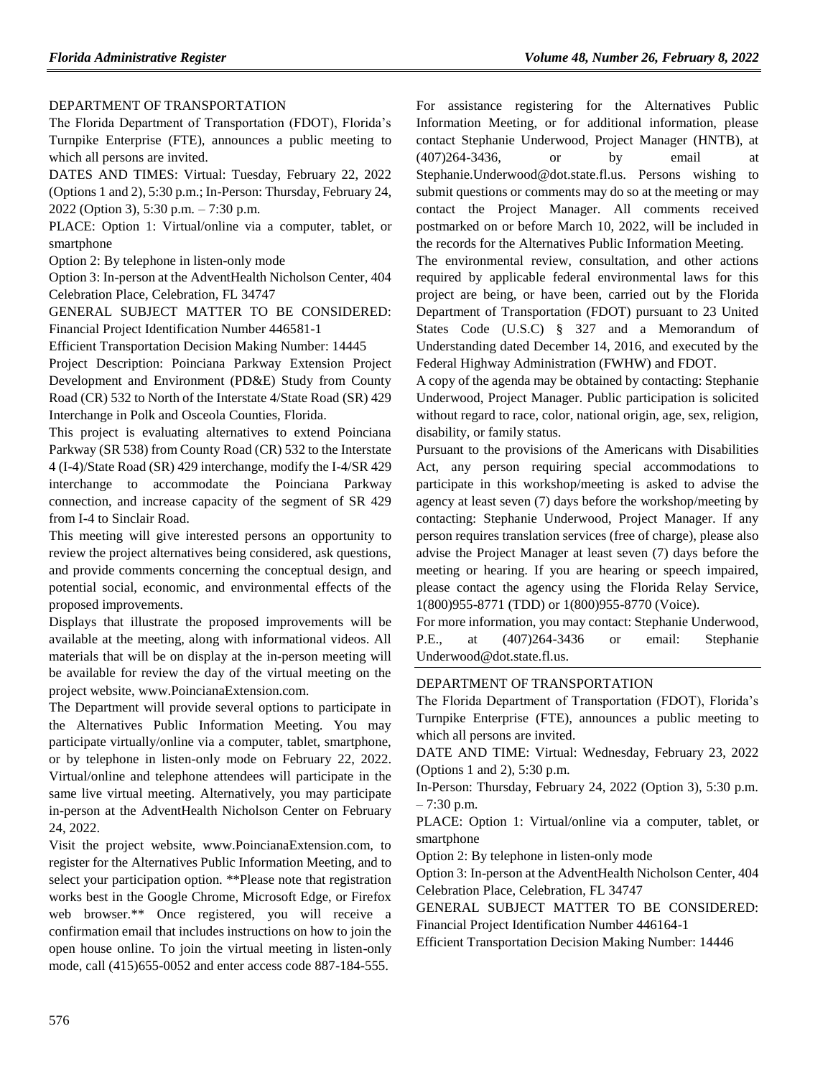## [DEPARTMENT OF TRANSPORTATION](https://www.flrules.org/gateway/department.asp?id=14)

The Florida Department of Transportation (FDOT), Florida's Turnpike Enterprise (FTE), announces a public meeting to which all persons are invited.

DATES AND TIMES: Virtual: Tuesday, February 22, 2022 (Options 1 and 2), 5:30 p.m.; In-Person: Thursday, February 24, 2022 (Option 3), 5:30 p.m. – 7:30 p.m.

PLACE: Option 1: Virtual/online via a computer, tablet, or smartphone

Option 2: By telephone in listen-only mode

Option 3: In-person at the AdventHealth Nicholson Center, 404 Celebration Place, Celebration, FL 34747

GENERAL SUBJECT MATTER TO BE CONSIDERED: Financial Project Identification Number 446581-1

Efficient Transportation Decision Making Number: 14445

Project Description: Poinciana Parkway Extension Project Development and Environment (PD&E) Study from County Road (CR) 532 to North of the Interstate 4/State Road (SR) 429 Interchange in Polk and Osceola Counties, Florida.

This project is evaluating alternatives to extend Poinciana Parkway (SR 538) from County Road (CR) 532 to the Interstate 4 (I-4)/State Road (SR) 429 interchange, modify the I-4/SR 429 interchange to accommodate the Poinciana Parkway connection, and increase capacity of the segment of SR 429 from I-4 to Sinclair Road.

This meeting will give interested persons an opportunity to review the project alternatives being considered, ask questions, and provide comments concerning the conceptual design, and potential social, economic, and environmental effects of the proposed improvements.

Displays that illustrate the proposed improvements will be available at the meeting, along with informational videos. All materials that will be on display at the in-person meeting will be available for review the day of the virtual meeting on the project website, www.PoincianaExtension.com.

The Department will provide several options to participate in the Alternatives Public Information Meeting. You may participate virtually/online via a computer, tablet, smartphone, or by telephone in listen-only mode on February 22, 2022. Virtual/online and telephone attendees will participate in the same live virtual meeting. Alternatively, you may participate in-person at the AdventHealth Nicholson Center on February 24, 2022.

Visit the project website, www.PoincianaExtension.com, to register for the Alternatives Public Information Meeting, and to select your participation option. \*\*Please note that registration works best in the Google Chrome, Microsoft Edge, or Firefox web browser.\*\* Once registered, you will receive a confirmation email that includes instructions on how to join the open house online. To join the virtual meeting in listen-only mode, call (415)655-0052 and enter access code 887-184-555.

For assistance registering for the Alternatives Public Information Meeting, or for additional information, please contact Stephanie Underwood, Project Manager (HNTB), at (407)264-3436, or by email at Stephanie.Underwood@dot.state.fl.us. Persons wishing to submit questions or comments may do so at the meeting or may contact the Project Manager. All comments received postmarked on or before March 10, 2022, will be included in the records for the Alternatives Public Information Meeting.

The environmental review, consultation, and other actions required by applicable federal environmental laws for this project are being, or have been, carried out by the Florida Department of Transportation (FDOT) pursuant to 23 United States Code (U.S.C) § 327 and a Memorandum of Understanding dated December 14, 2016, and executed by the Federal Highway Administration (FWHW) and FDOT.

A copy of the agenda may be obtained by contacting: Stephanie Underwood, Project Manager. Public participation is solicited without regard to race, color, national origin, age, sex, religion, disability, or family status.

Pursuant to the provisions of the Americans with Disabilities Act, any person requiring special accommodations to participate in this workshop/meeting is asked to advise the agency at least seven (7) days before the workshop/meeting by contacting: Stephanie Underwood, Project Manager. If any person requires translation services (free of charge), please also advise the Project Manager at least seven (7) days before the meeting or hearing. If you are hearing or speech impaired, please contact the agency using the Florida Relay Service, 1(800)955-8771 (TDD) or 1(800)955-8770 (Voice).

For more information, you may contact: Stephanie Underwood, P.E., at (407)264-3436 or email: Stephanie Underwood@dot.state.fl.us.

# [DEPARTMENT OF TRANSPORTATION](https://www.flrules.org/gateway/department.asp?id=14)

The Florida Department of Transportation (FDOT), Florida's Turnpike Enterprise (FTE), announces a public meeting to which all persons are invited.

DATE AND TIME: Virtual: Wednesday, February 23, 2022 (Options 1 and 2), 5:30 p.m.

In-Person: Thursday, February 24, 2022 (Option 3), 5:30 p.m.  $-7:30$  p.m.

PLACE: Option 1: Virtual/online via a computer, tablet, or smartphone

Option 2: By telephone in listen-only mode

Option 3: In-person at the AdventHealth Nicholson Center, 404 Celebration Place, Celebration, FL 34747

GENERAL SUBJECT MATTER TO BE CONSIDERED: Financial Project Identification Number 446164-1

Efficient Transportation Decision Making Number: 14446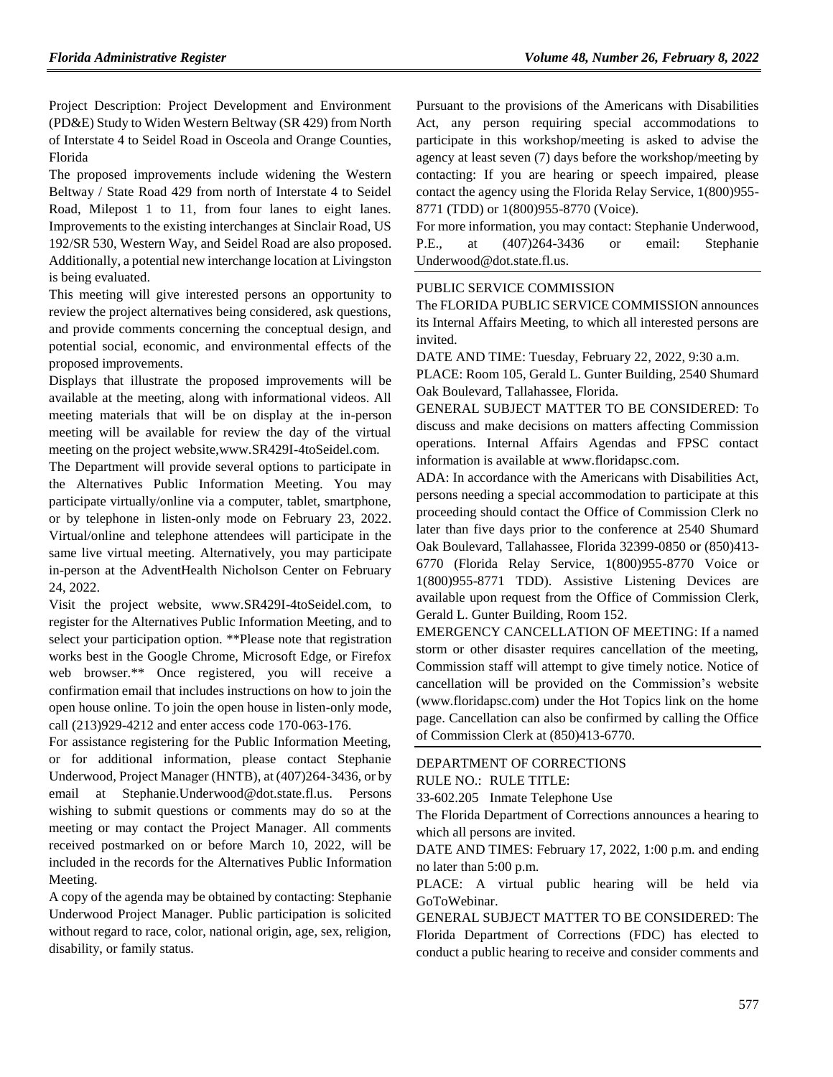Project Description: Project Development and Environment (PD&E) Study to Widen Western Beltway (SR 429) from North of Interstate 4 to Seidel Road in Osceola and Orange Counties, Florida

The proposed improvements include widening the Western Beltway / State Road 429 from north of Interstate 4 to Seidel Road, Milepost 1 to 11, from four lanes to eight lanes. Improvements to the existing interchanges at Sinclair Road, US 192/SR 530, Western Way, and Seidel Road are also proposed. Additionally, a potential new interchange location at Livingston is being evaluated.

This meeting will give interested persons an opportunity to review the project alternatives being considered, ask questions, and provide comments concerning the conceptual design, and potential social, economic, and environmental effects of the proposed improvements.

Displays that illustrate the proposed improvements will be available at the meeting, along with informational videos. All meeting materials that will be on display at the in-person meeting will be available for review the day of the virtual meeting on the project website,www.SR429I-4toSeidel.com.

The Department will provide several options to participate in the Alternatives Public Information Meeting. You may participate virtually/online via a computer, tablet, smartphone, or by telephone in listen-only mode on February 23, 2022. Virtual/online and telephone attendees will participate in the same live virtual meeting. Alternatively, you may participate in-person at the AdventHealth Nicholson Center on February 24, 2022.

Visit the project website, www.SR429I-4toSeidel.com, to register for the Alternatives Public Information Meeting, and to select your participation option. \*\*Please note that registration works best in the Google Chrome, Microsoft Edge, or Firefox web browser.\*\* Once registered, you will receive a confirmation email that includes instructions on how to join the open house online. To join the open house in listen-only mode, call (213)929-4212 and enter access code 170-063-176.

For assistance registering for the Public Information Meeting, or for additional information, please contact Stephanie Underwood, Project Manager (HNTB), at (407)264-3436, or by email at Stephanie.Underwood@dot.state.fl.us. Persons wishing to submit questions or comments may do so at the meeting or may contact the Project Manager. All comments received postmarked on or before March 10, 2022, will be included in the records for the Alternatives Public Information Meeting.

A copy of the agenda may be obtained by contacting: Stephanie Underwood Project Manager. Public participation is solicited without regard to race, color, national origin, age, sex, religion, disability, or family status.

Pursuant to the provisions of the Americans with Disabilities Act, any person requiring special accommodations to participate in this workshop/meeting is asked to advise the agency at least seven (7) days before the workshop/meeting by contacting: If you are hearing or speech impaired, please contact the agency using the Florida Relay Service, 1(800)955- 8771 (TDD) or 1(800)955-8770 (Voice).

For more information, you may contact: Stephanie Underwood, P.E., at (407)264-3436 or email: Stephanie Underwood@dot.state.fl.us.

# PUBLIC SERVICE COMMISSION

The FLORIDA PUBLIC SERVICE COMMISSION announces its Internal Affairs Meeting, to which all interested persons are invited.

DATE AND TIME: Tuesday, February 22, 2022, 9:30 a.m.

PLACE: Room 105, Gerald L. Gunter Building, 2540 Shumard Oak Boulevard, Tallahassee, Florida.

GENERAL SUBJECT MATTER TO BE CONSIDERED: To discuss and make decisions on matters affecting Commission operations. Internal Affairs Agendas and FPSC contact information is available at [www.floridapsc.com.](http://www.floridapsc.com/)

ADA: In accordance with the Americans with Disabilities Act, persons needing a special accommodation to participate at this proceeding should contact the Office of Commission Clerk no later than five days prior to the conference at 2540 Shumard Oak Boulevard, Tallahassee, Florida 32399-0850 or (850)413- 6770 (Florida Relay Service, 1(800)955-8770 Voice or 1(800)955-8771 TDD). Assistive Listening Devices are available upon request from the Office of Commission Clerk, Gerald L. Gunter Building, Room 152.

EMERGENCY CANCELLATION OF MEETING: If a named storm or other disaster requires cancellation of the meeting, Commission staff will attempt to give timely notice. Notice of cancellation will be provided on the Commission's website [\(www.](http://www/)floridapsc.com) under the Hot Topics link on the home page. Cancellation can also be confirmed by calling the Office of Commission Clerk at (850)413-6770.

#### [DEPARTMENT OF CORRECTIONS](https://www.flrules.org/gateway/department.asp?id=33) RULE NO.: RULE TITLE:

33-602.205 Inmate Telephone Use

The Florida Department of Corrections announces a hearing to which all persons are invited.

DATE AND TIMES: February 17, 2022, 1:00 p.m. and ending no later than 5:00 p.m.

PLACE: A virtual public hearing will be held via GoToWebinar.

GENERAL SUBJECT MATTER TO BE CONSIDERED: The Florida Department of Corrections (FDC) has elected to conduct a public hearing to receive and consider comments and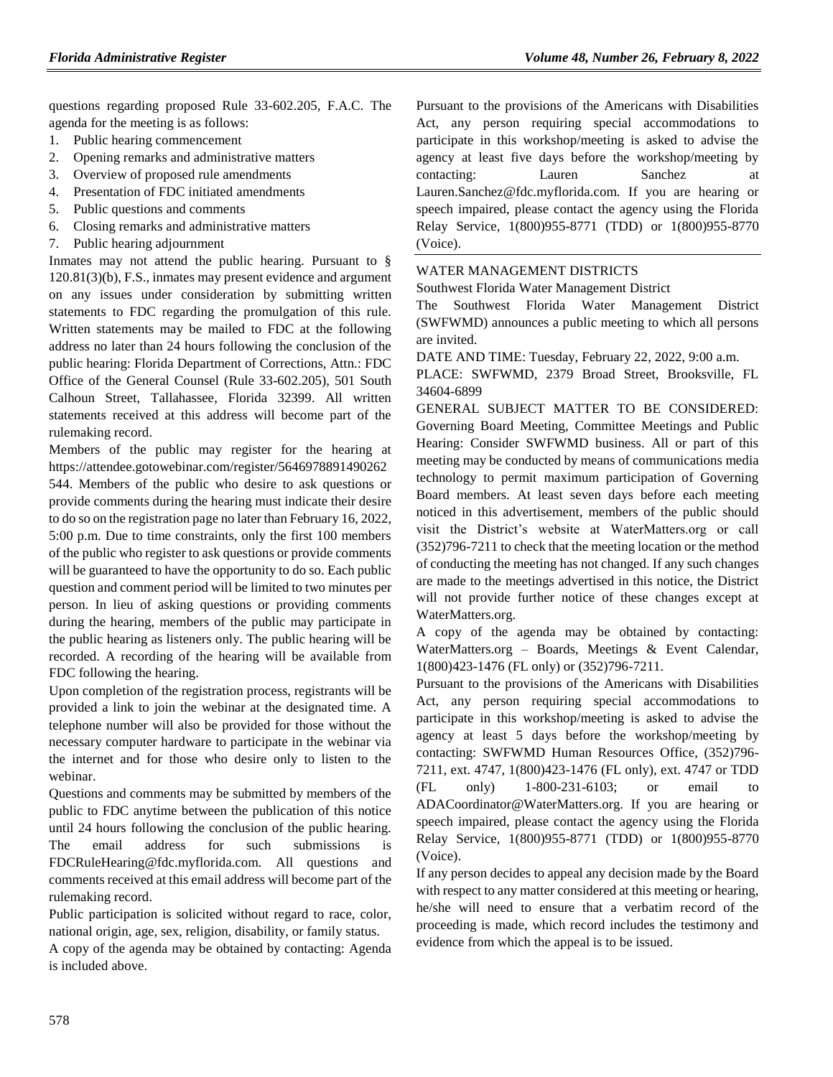questions regarding proposed Rule 33-602.205, F.A.C. The agenda for the meeting is as follows:

- 1. Public hearing commencement
- 2. Opening remarks and administrative matters
- 3. Overview of proposed rule amendments
- 4. Presentation of FDC initiated amendments
- 5. Public questions and comments
- 6. Closing remarks and administrative matters
- 7. Public hearing adjournment

Inmates may not attend the public hearing. Pursuant to § 120.81(3)(b), F.S., inmates may present evidence and argument on any issues under consideration by submitting written statements to FDC regarding the promulgation of this rule. Written statements may be mailed to FDC at the following address no later than 24 hours following the conclusion of the public hearing: Florida Department of Corrections, Attn.: FDC Office of the General Counsel (Rule 33-602.205), 501 South Calhoun Street, Tallahassee, Florida 32399. All written statements received at this address will become part of the rulemaking record.

Members of the public may register for the hearing at [https://attendee.gotowebinar.com/register/5646978891490262](https://attendee.gotowebinar.com/register/5646978891490262544) [544.](https://attendee.gotowebinar.com/register/5646978891490262544) Members of the public who desire to ask questions or provide comments during the hearing must indicate their desire to do so on the registration page no later than February 16, 2022, 5:00 p.m. Due to time constraints, only the first 100 members of the public who register to ask questions or provide comments will be guaranteed to have the opportunity to do so. Each public question and comment period will be limited to two minutes per person. In lieu of asking questions or providing comments during the hearing, members of the public may participate in the public hearing as listeners only. The public hearing will be recorded. A recording of the hearing will be available from FDC following the hearing.

Upon completion of the registration process, registrants will be provided a link to join the webinar at the designated time. A telephone number will also be provided for those without the necessary computer hardware to participate in the webinar via the internet and for those who desire only to listen to the webinar.

Questions and comments may be submitted by members of the public to FDC anytime between the publication of this notice until 24 hours following the conclusion of the public hearing. The email address for such submissions is [FDCRuleHearing@fdc.myflorida.com. A](mailto:FDCRuleHearing@fdc.myflorida.com)ll questions and comments received at this email address will become part of the rulemaking record.

Public participation is solicited without regard to race, color, national origin, age, sex, religion, disability, or family status.

A copy of the agenda may be obtained by contacting: Agenda is included above.

Pursuant to the provisions of the Americans with Disabilities Act, any person requiring special accommodations to participate in this workshop/meeting is asked to advise the agency at least five days before the workshop/meeting by contacting: Lauren Sanchez at [Lauren.Sanchez@fdc.myflorida.com. I](mailto:Lauren.Sanchez@fdc.myflorida.com)f you are hearing or speech impaired, please contact the agency using the Florida Relay Service, 1(800)955-8771 (TDD) or 1(800)955-8770 (Voice).

# [WATER MANAGEMENT DISTRICTS](https://www.flrules.org/gateway/department.asp?id=40)

[Southwest Florida Water Management District](https://www.flrules.org/gateway/organization.asp?id=123)

The Southwest Florida Water Management District (SWFWMD) announces a public meeting to which all persons are invited.

DATE AND TIME: Tuesday, February 22, 2022, 9:00 a.m.

PLACE: SWFWMD, 2379 Broad Street, Brooksville, FL 34604-6899

GENERAL SUBJECT MATTER TO BE CONSIDERED: Governing Board Meeting, Committee Meetings and Public Hearing: Consider SWFWMD business. All or part of this meeting may be conducted by means of communications media technology to permit maximum participation of Governing Board members. At least seven days before each meeting noticed in this advertisement, members of the public should visit the District's website at WaterMatters.org or call (352)796-7211 to check that the meeting location or the method of conducting the meeting has not changed. If any such changes are made to the meetings advertised in this notice, the District will not provide further notice of these changes except at WaterMatters.org.

A copy of the agenda may be obtained by contacting: WaterMatters.org – Boards, Meetings & Event Calendar, 1(800)423-1476 (FL only) or (352)796-7211.

Pursuant to the provisions of the Americans with Disabilities Act, any person requiring special accommodations to participate in this workshop/meeting is asked to advise the agency at least 5 days before the workshop/meeting by contacting: SWFWMD Human Resources Office, (352)796- 7211, ext. 4747, 1(800)423-1476 (FL only), ext. 4747 or TDD (FL only) 1-800-231-6103; or email to ADACoordinator@WaterMatters.org. If you are hearing or speech impaired, please contact the agency using the Florida Relay Service, 1(800)955-8771 (TDD) or 1(800)955-8770 (Voice).

If any person decides to appeal any decision made by the Board with respect to any matter considered at this meeting or hearing, he/she will need to ensure that a verbatim record of the proceeding is made, which record includes the testimony and evidence from which the appeal is to be issued.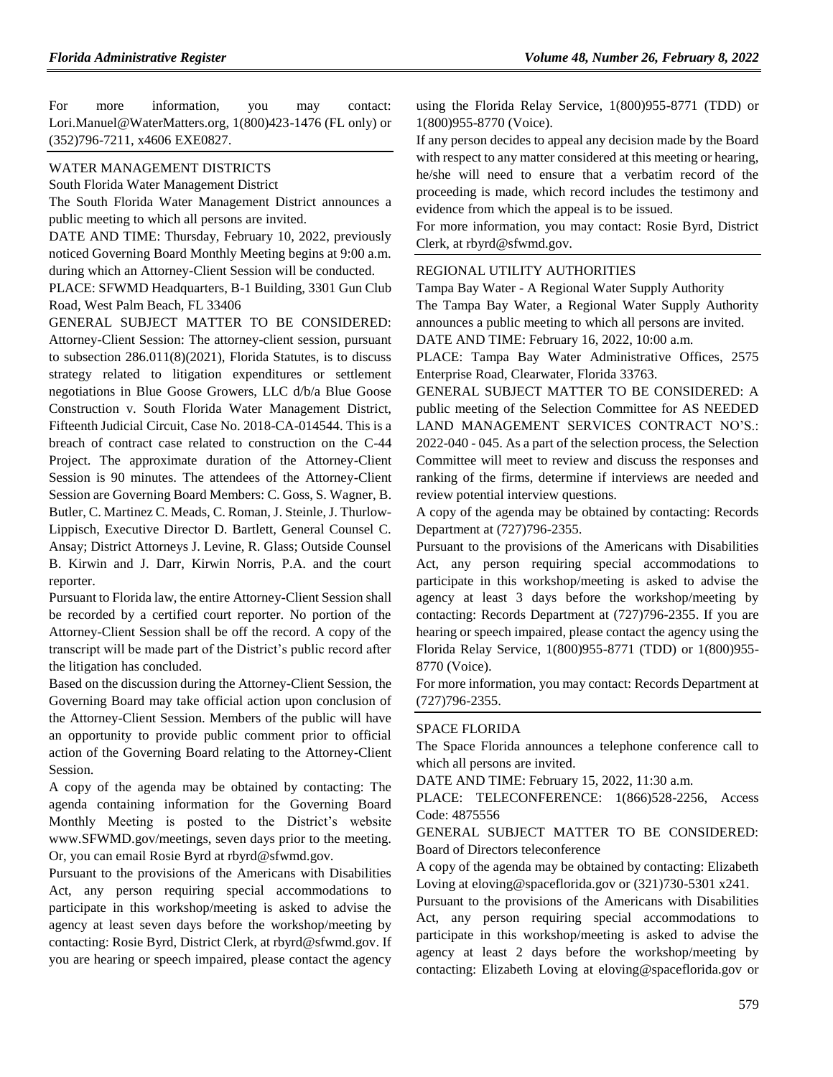For more information, you may contact: Lori.Manuel@WaterMatters.org, 1(800)423-1476 (FL only) or (352)796-7211, x4606 EXE0827.

#### [WATER MANAGEMENT DISTRICTS](https://www.flrules.org/gateway/department.asp?id=40)

[South Florida Water Management District](https://www.flrules.org/gateway/organization.asp?id=124)

The South Florida Water Management District announces a public meeting to which all persons are invited.

DATE AND TIME: Thursday, February 10, 2022, previously noticed Governing Board Monthly Meeting begins at 9:00 a.m. during which an Attorney-Client Session will be conducted.

PLACE: SFWMD Headquarters, B-1 Building, 3301 Gun Club Road, West Palm Beach, FL 33406

GENERAL SUBJECT MATTER TO BE CONSIDERED: Attorney-Client Session: The attorney-client session, pursuant to subsection 286.011(8)(2021), Florida Statutes, is to discuss strategy related to litigation expenditures or settlement negotiations in Blue Goose Growers, LLC d/b/a Blue Goose Construction v. South Florida Water Management District, Fifteenth Judicial Circuit, Case No. 2018-CA-014544. This is a breach of contract case related to construction on the C-44 Project. The approximate duration of the Attorney-Client Session is 90 minutes. The attendees of the Attorney-Client Session are Governing Board Members: C. Goss, S. Wagner, B. Butler, C. Martinez C. Meads, C. Roman, J. Steinle, J. Thurlow-Lippisch, Executive Director D. Bartlett, General Counsel C. Ansay; District Attorneys J. Levine, R. Glass; Outside Counsel B. Kirwin and J. Darr, Kirwin Norris, P.A. and the court reporter.

Pursuant to Florida law, the entire Attorney-Client Session shall be recorded by a certified court reporter. No portion of the Attorney-Client Session shall be off the record. A copy of the transcript will be made part of the District's public record after the litigation has concluded.

Based on the discussion during the Attorney-Client Session, the Governing Board may take official action upon conclusion of the Attorney-Client Session. Members of the public will have an opportunity to provide public comment prior to official action of the Governing Board relating to the Attorney-Client Session.

A copy of the agenda may be obtained by contacting: The agenda containing information for the Governing Board Monthly Meeting is posted to the District's website www.SFWMD.gov/meetings, seven days prior to the meeting. Or, you can email Rosie Byrd at rbyrd@sfwmd.gov.

Pursuant to the provisions of the Americans with Disabilities Act, any person requiring special accommodations to participate in this workshop/meeting is asked to advise the agency at least seven days before the workshop/meeting by contacting: Rosie Byrd, District Clerk, at rbyrd@sfwmd.gov. If you are hearing or speech impaired, please contact the agency

using the Florida Relay Service, 1(800)955-8771 (TDD) or 1(800)955-8770 (Voice).

If any person decides to appeal any decision made by the Board with respect to any matter considered at this meeting or hearing, he/she will need to ensure that a verbatim record of the proceeding is made, which record includes the testimony and evidence from which the appeal is to be issued.

For more information, you may contact: Rosie Byrd, District Clerk, at rbyrd@sfwmd.gov.

#### [REGIONAL UTILITY AUTHORITIES](https://www.flrules.org/gateway/department.asp?id=49)

Tampa Bay Water - [A Regional Water Supply Authority](https://www.flrules.org/gateway/organization.asp?id=158) The Tampa Bay Water, a Regional Water Supply Authority announces a public meeting to which all persons are invited.

DATE AND TIME: February 16, 2022, 10:00 a.m.

PLACE: Tampa Bay Water Administrative Offices, 2575 Enterprise Road, Clearwater, Florida 33763.

GENERAL SUBJECT MATTER TO BE CONSIDERED: A public meeting of the Selection Committee for AS NEEDED LAND MANAGEMENT SERVICES CONTRACT NO'S.: 2022-040 - 045. As a part of the selection process, the Selection Committee will meet to review and discuss the responses and ranking of the firms, determine if interviews are needed and review potential interview questions.

A copy of the agenda may be obtained by contacting: Records Department at (727)796-2355.

Pursuant to the provisions of the Americans with Disabilities Act, any person requiring special accommodations to participate in this workshop/meeting is asked to advise the agency at least 3 days before the workshop/meeting by contacting: Records Department at (727)796-2355. If you are hearing or speech impaired, please contact the agency using the Florida Relay Service, 1(800)955-8771 (TDD) or 1(800)955- 8770 (Voice).

For more information, you may contact: Records Department at (727)796-2355.

#### [SPACE FLORIDA](https://www.flrules.org/gateway/department.asp?id=57)

The Space Florida announces a telephone conference call to which all persons are invited.

DATE AND TIME: February 15, 2022, 11:30 a.m.

PLACE: TELECONFERENCE: 1(866)528-2256, Access Code: 4875556

## GENERAL SUBJECT MATTER TO BE CONSIDERED: Board of Directors teleconference

A copy of the agenda may be obtained by contacting: Elizabeth Loving at eloving@spaceflorida.gov or (321)730-5301 x241.

Pursuant to the provisions of the Americans with Disabilities Act, any person requiring special accommodations to participate in this workshop/meeting is asked to advise the agency at least 2 days before the workshop/meeting by contacting: Elizabeth Loving at eloving@spaceflorida.gov or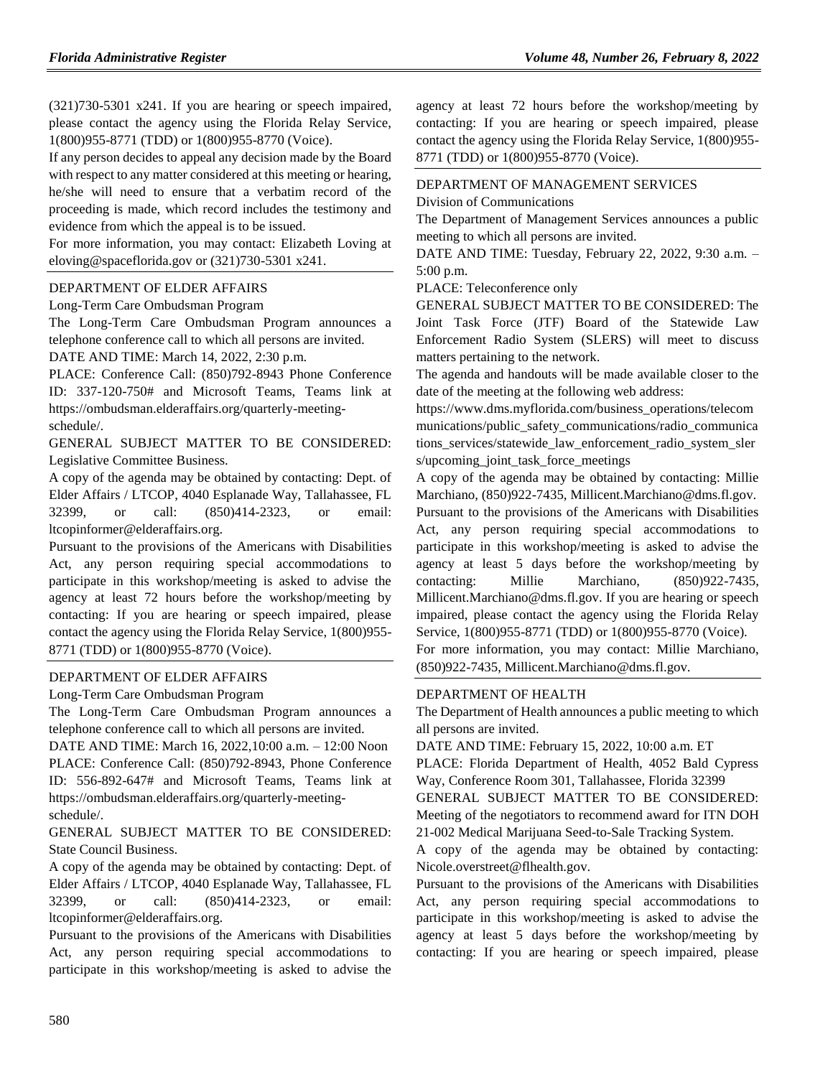(321)730-5301 x241. If you are hearing or speech impaired, please contact the agency using the Florida Relay Service, 1(800)955-8771 (TDD) or 1(800)955-8770 (Voice).

If any person decides to appeal any decision made by the Board with respect to any matter considered at this meeting or hearing, he/she will need to ensure that a verbatim record of the proceeding is made, which record includes the testimony and evidence from which the appeal is to be issued.

For more information, you may contact: Elizabeth Loving at eloving@spaceflorida.gov or (321)730-5301 x241.

#### [DEPARTMENT OF ELDER AFFAIRS](https://www.flrules.org/gateway/department.asp?id=58)

#### [Long-Term Care Ombudsman Program](https://www.flrules.org/gateway/organization.asp?id=184)

The Long-Term Care Ombudsman Program announces a telephone conference call to which all persons are invited. DATE AND TIME: March 14, 2022, 2:30 p.m.

PLACE: Conference Call: (850)792-8943 Phone Conference ID: 337-120-750# and Microsoft Teams, Teams link at https://ombudsman.elderaffairs.org/quarterly-meetingschedule/.

GENERAL SUBJECT MATTER TO BE CONSIDERED: Legislative Committee Business.

A copy of the agenda may be obtained by contacting: Dept. of Elder Affairs / LTCOP, 4040 Esplanade Way, Tallahassee, FL 32399, or call: (850)414-2323, or email: ltcopinformer@elderaffairs.org.

Pursuant to the provisions of the Americans with Disabilities Act, any person requiring special accommodations to participate in this workshop/meeting is asked to advise the agency at least 72 hours before the workshop/meeting by contacting: If you are hearing or speech impaired, please contact the agency using the Florida Relay Service, 1(800)955- 8771 (TDD) or 1(800)955-8770 (Voice).

### [DEPARTMENT OF ELDER AFFAIRS](https://www.flrules.org/gateway/department.asp?id=58)

### [Long-Term Care Ombudsman Program](https://www.flrules.org/gateway/organization.asp?id=184)

The Long-Term Care Ombudsman Program announces a telephone conference call to which all persons are invited.

DATE AND TIME: March 16, 2022,10:00 a.m. – 12:00 Noon PLACE: Conference Call: (850)792-8943, Phone Conference ID: 556-892-647# and Microsoft Teams, Teams link at https://ombudsman.elderaffairs.org/quarterly-meetingschedule/.

GENERAL SUBJECT MATTER TO BE CONSIDERED: State Council Business.

A copy of the agenda may be obtained by contacting: Dept. of Elder Affairs / LTCOP, 4040 Esplanade Way, Tallahassee, FL 32399, or call: (850)414-2323, or email: ltcopinformer@elderaffairs.org.

Pursuant to the provisions of the Americans with Disabilities Act, any person requiring special accommodations to participate in this workshop/meeting is asked to advise the agency at least 72 hours before the workshop/meeting by contacting: If you are hearing or speech impaired, please contact the agency using the Florida Relay Service, 1(800)955- 8771 (TDD) or 1(800)955-8770 (Voice).

#### [DEPARTMENT OF MANAGEMENT SERVICES](https://www.flrules.org/gateway/department.asp?id=60)

[Division of Communications](https://www.flrules.org/gateway/organization.asp?id=224)

The Department of Management Services announces a public meeting to which all persons are invited.

DATE AND TIME: Tuesday, February 22, 2022, 9:30 a.m. – 5:00 p.m.

PLACE: Teleconference only

GENERAL SUBJECT MATTER TO BE CONSIDERED: The Joint Task Force (JTF) Board of the Statewide Law Enforcement Radio System (SLERS) will meet to discuss matters pertaining to the network.

The agenda and handouts will be made available closer to the date of the meeting at the following web address:

https://www.dms.myflorida.com/business\_operations/telecom munications/public\_safety\_communications/radio\_communica tions\_services/statewide\_law\_enforcement\_radio\_system\_sler s/upcoming\_joint\_task\_force\_meetings

A copy of the agenda may be obtained by contacting: Millie Marchiano, (850)922-7435, Millicent.Marchiano@dms.fl.gov. Pursuant to the provisions of the Americans with Disabilities Act, any person requiring special accommodations to participate in this workshop/meeting is asked to advise the agency at least 5 days before the workshop/meeting by contacting: Millie Marchiano, (850)922-7435, Millicent.Marchiano@dms.fl.gov. If you are hearing or speech impaired, please contact the agency using the Florida Relay Service, 1(800)955-8771 (TDD) or 1(800)955-8770 (Voice).

For more information, you may contact: Millie Marchiano, (850)922-7435, Millicent.Marchiano@dms.fl.gov.

### [DEPARTMENT OF HEALTH](https://www.flrules.org/gateway/department.asp?id=64)

The Department of Health announces a public meeting to which all persons are invited.

DATE AND TIME: February 15, 2022, 10:00 a.m. ET

PLACE: Florida Department of Health, 4052 Bald Cypress Way, Conference Room 301, Tallahassee, Florida 32399

GENERAL SUBJECT MATTER TO BE CONSIDERED: Meeting of the negotiators to recommend award for ITN DOH 21-002 Medical Marijuana Seed-to-Sale Tracking System.

A copy of the agenda may be obtained by contacting: Nicole.overstreet@flhealth.gov.

Pursuant to the provisions of the Americans with Disabilities Act, any person requiring special accommodations to participate in this workshop/meeting is asked to advise the agency at least 5 days before the workshop/meeting by contacting: If you are hearing or speech impaired, please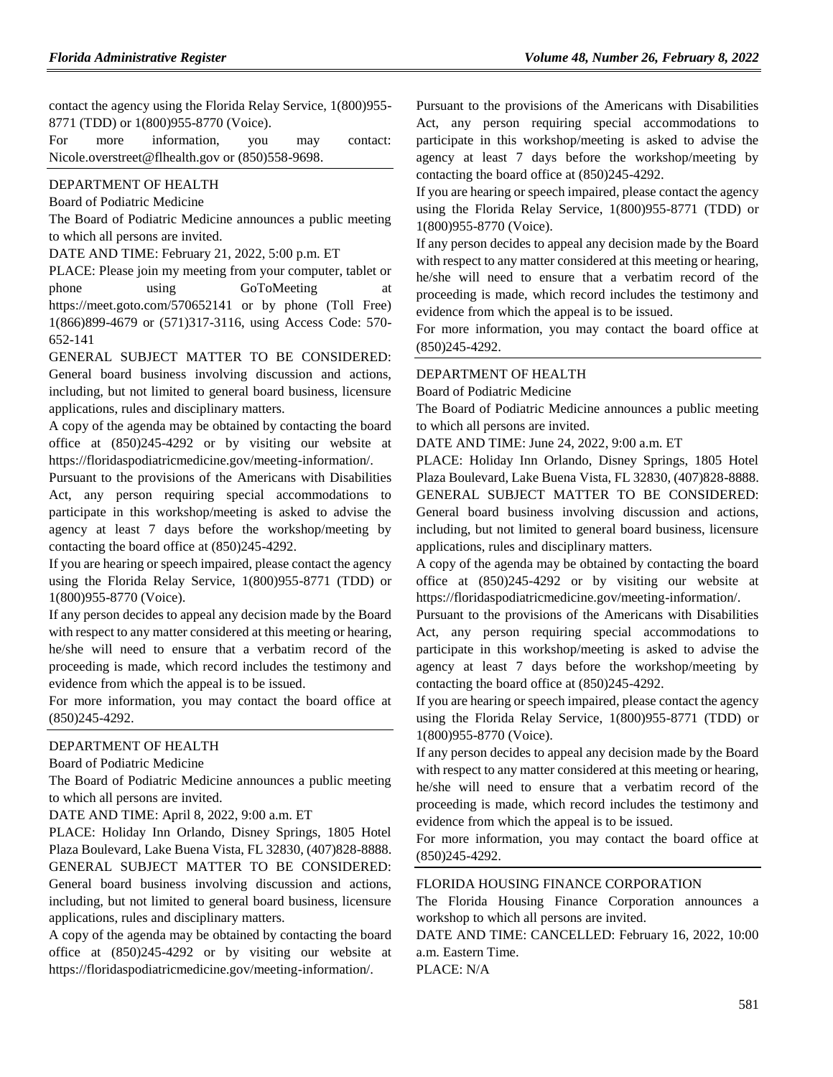contact the agency using the Florida Relay Service, 1(800)955- 8771 (TDD) or 1(800)955-8770 (Voice).

| For | more | information.                                     | you | may | contact: |
|-----|------|--------------------------------------------------|-----|-----|----------|
|     |      | Nicole.overstreet@flhealth.gov or (850)558-9698. |     |     |          |

#### DEPARTMENT OF HEALTH

Board of Podiatric Medicine

The Board of Podiatric Medicine announces a public meeting to which all persons are invited.

DATE AND TIME: February 21, 2022, 5:00 p.m. ET

PLACE: Please join my meeting from your computer, tablet or phone using GoToMeeting at <https://meet.goto.com/570652141> or by phone (Toll Free) 1(866)899-4679 or (571)317-3116, using Access Code: 570- 652-141

GENERAL SUBJECT MATTER TO BE CONSIDERED: General board business involving discussion and actions, including, but not limited to general board business, licensure applications, rules and disciplinary matters.

A copy of the agenda may be obtained by contacting the board office at (850)245-4292 or by visiting our website at https://floridaspodiatricmedicine.gov/meeting-information/.

Pursuant to the provisions of the Americans with Disabilities Act, any person requiring special accommodations to participate in this workshop/meeting is asked to advise the agency at least 7 days before the workshop/meeting by contacting the board office at (850)245-4292.

If you are hearing or speech impaired, please contact the agency using the Florida Relay Service, 1(800)955-8771 (TDD) or 1(800)955-8770 (Voice).

If any person decides to appeal any decision made by the Board with respect to any matter considered at this meeting or hearing, he/she will need to ensure that a verbatim record of the proceeding is made, which record includes the testimony and evidence from which the appeal is to be issued.

For more information, you may contact the board office at (850)245-4292.

#### DEPARTMENT OF HEALTH

#### Board of Podiatric Medicine

The Board of Podiatric Medicine announces a public meeting to which all persons are invited.

DATE AND TIME: April 8, 2022, 9:00 a.m. ET

PLACE: Holiday Inn Orlando, Disney Springs, 1805 Hotel Plaza Boulevard, Lake Buena Vista, FL 32830, (407)828-8888. GENERAL SUBJECT MATTER TO BE CONSIDERED: General board business involving discussion and actions, including, but not limited to general board business, licensure applications, rules and disciplinary matters.

A copy of the agenda may be obtained by contacting the board office at (850)245-4292 or by visiting our website at https://floridaspodiatricmedicine.gov/meeting-information/.

Pursuant to the provisions of the Americans with Disabilities Act, any person requiring special accommodations to participate in this workshop/meeting is asked to advise the agency at least 7 days before the workshop/meeting by contacting the board office at (850)245-4292.

If you are hearing or speech impaired, please contact the agency using the Florida Relay Service, 1(800)955-8771 (TDD) or 1(800)955-8770 (Voice).

If any person decides to appeal any decision made by the Board with respect to any matter considered at this meeting or hearing, he/she will need to ensure that a verbatim record of the proceeding is made, which record includes the testimony and evidence from which the appeal is to be issued.

For more information, you may contact the board office at (850)245-4292.

#### DEPARTMENT OF HEALTH

Board of Podiatric Medicine

The Board of Podiatric Medicine announces a public meeting to which all persons are invited.

DATE AND TIME: June 24, 2022, 9:00 a.m. ET

PLACE: Holiday Inn Orlando, Disney Springs, 1805 Hotel Plaza Boulevard, Lake Buena Vista, FL 32830, (407)828-8888. GENERAL SUBJECT MATTER TO BE CONSIDERED: General board business involving discussion and actions, including, but not limited to general board business, licensure applications, rules and disciplinary matters.

A copy of the agenda may be obtained by contacting the board office at (850)245-4292 or by visiting our website at https://floridaspodiatricmedicine.gov/meeting-information/.

Pursuant to the provisions of the Americans with Disabilities Act, any person requiring special accommodations to participate in this workshop/meeting is asked to advise the agency at least 7 days before the workshop/meeting by contacting the board office at (850)245-4292.

If you are hearing or speech impaired, please contact the agency using the Florida Relay Service, 1(800)955-8771 (TDD) or 1(800)955-8770 (Voice).

If any person decides to appeal any decision made by the Board with respect to any matter considered at this meeting or hearing, he/she will need to ensure that a verbatim record of the proceeding is made, which record includes the testimony and evidence from which the appeal is to be issued.

For more information, you may contact the board office at (850)245-4292.

#### [FLORIDA HOUSING FINANCE CORPORATION](https://www.flrules.org/gateway/department.asp?id=67)

The Florida Housing Finance Corporation announces a workshop to which all persons are invited.

DATE AND TIME: CANCELLED: February 16, 2022, 10:00 a.m. Eastern Time.

PLACE: N/A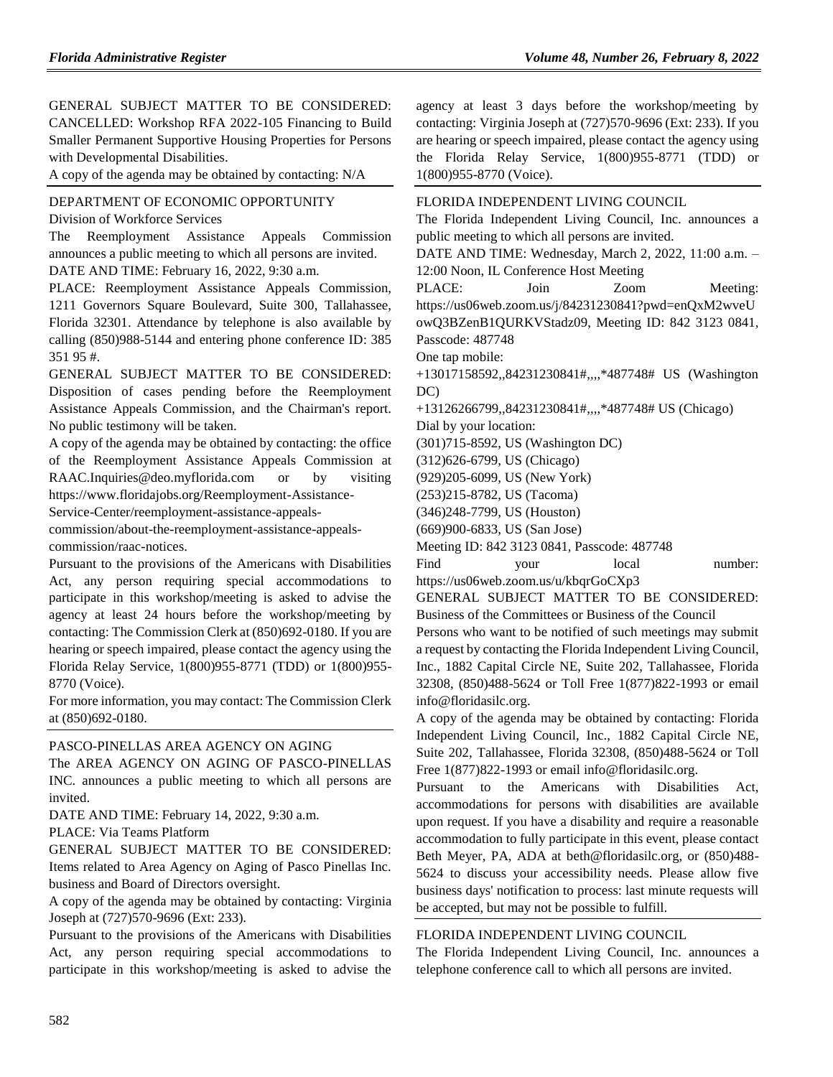GENERAL SUBJECT MATTER TO BE CONSIDERED: CANCELLED: Workshop RFA 2022-105 Financing to Build Smaller Permanent Supportive Housing Properties for Persons with Developmental Disabilities.

A copy of the agenda may be obtained by contacting: N/A

[DEPARTMENT OF ECONOMIC OPPORTUNITY](https://www.flrules.org/gateway/department.asp?id=73) [Division of Workforce Services](https://www.flrules.org/gateway/organization.asp?id=1065)

The Reemployment Assistance Appeals Commission announces a public meeting to which all persons are invited.

DATE AND TIME: February 16, 2022, 9:30 a.m.

PLACE: Reemployment Assistance Appeals Commission, 1211 Governors Square Boulevard, Suite 300, Tallahassee, Florida 32301. Attendance by telephone is also available by calling (850)988-5144 and entering phone conference ID: 385 351 95 #.

GENERAL SUBJECT MATTER TO BE CONSIDERED: Disposition of cases pending before the Reemployment Assistance Appeals Commission, and the Chairman's report. No public testimony will be taken.

A copy of the agenda may be obtained by contacting: the office of the Reemployment Assistance Appeals Commission at RAAC.Inquiries@deo.myflorida.com or by visiting https://www.floridajobs.org/Reemployment-Assistance-Service-Center/reemployment-assistance-appeals-

commission/about-the-reemployment-assistance-appealscommission/raac-notices.

Pursuant to the provisions of the Americans with Disabilities Act, any person requiring special accommodations to participate in this workshop/meeting is asked to advise the agency at least 24 hours before the workshop/meeting by contacting: The Commission Clerk at (850)692-0180. If you are hearing or speech impaired, please contact the agency using the Florida Relay Service, 1(800)955-8771 (TDD) or 1(800)955- 8770 (Voice).

For more information, you may contact: The Commission Clerk at (850)692-0180.

#### [PASCO-PINELLAS AREA AGENCY ON AGING](https://www.flrules.org/gateway/organization.asp?id=569)

The AREA AGENCY ON AGING OF PASCO-PINELLAS INC. announces a public meeting to which all persons are invited.

DATE AND TIME: February 14, 2022, 9:30 a.m.

PLACE: Via Teams Platform

GENERAL SUBJECT MATTER TO BE CONSIDERED: Items related to Area Agency on Aging of Pasco Pinellas Inc. business and Board of Directors oversight.

A copy of the agenda may be obtained by contacting: Virginia Joseph at (727)570-9696 (Ext: 233).

Pursuant to the provisions of the Americans with Disabilities Act, any person requiring special accommodations to participate in this workshop/meeting is asked to advise the

agency at least 3 days before the workshop/meeting by contacting: Virginia Joseph at (727)570-9696 (Ext: 233). If you are hearing or speech impaired, please contact the agency using the Florida Relay Service, 1(800)955-8771 (TDD) or 1(800)955-8770 (Voice).

# [FLORIDA INDEPENDENT LIVING COUNCIL](https://www.flrules.org/gateway/organization.asp?id=616) The Florida Independent Living Council, Inc. announces a public meeting to which all persons are invited. DATE AND TIME: Wednesday, March 2, 2022, 11:00 a.m. – 12:00 Noon, IL Conference Host Meeting

PLACE: Join Zoom Meeting: https://us06web.zoom.us/j/84231230841?pwd=enQxM2wveU

owQ3BZenB1QURKVStadz09, Meeting ID: 842 3123 0841,

Passcode: 487748

One tap mobile:

+13017158592,,84231230841#,,,,\*487748# US (Washington DC)

+13126266799,,84231230841#,,,,\*487748# US (Chicago)

Dial by your location:

(301)715-8592, US (Washington DC)

(312)626-6799, US (Chicago)

(929)205-6099, US (New York)

(253)215-8782, US (Tacoma)

(346)248-7799, US (Houston)

(669)900-6833, US (San Jose)

Meeting ID: 842 3123 0841, Passcode: 487748

Find vour local number: https://us06web.zoom.us/u/kbqrGoCXp3

GENERAL SUBJECT MATTER TO BE CONSIDERED: Business of the Committees or Business of the Council

Persons who want to be notified of such meetings may submit a request by contacting the Florida Independent Living Council, Inc., 1882 Capital Circle NE, Suite 202, Tallahassee, Florida 32308, (850)488-5624 or Toll Free 1(877)822-1993 or email info@floridasilc.org.

A copy of the agenda may be obtained by contacting: Florida Independent Living Council, Inc., 1882 Capital Circle NE, Suite 202, Tallahassee, Florida 32308, (850)488-5624 or Toll Free 1(877)822-1993 or email info@floridasilc.org.

Pursuant to the Americans with Disabilities Act, accommodations for persons with disabilities are available upon request. If you have a disability and require a reasonable accommodation to fully participate in this event, please contact Beth Meyer, PA, ADA at beth@floridasilc.org, or (850)488- 5624 to discuss your accessibility needs. Please allow five business days' notification to process: last minute requests will be accepted, but may not be possible to fulfill.

## [FLORIDA INDEPENDENT LIVING COUNCIL](https://www.flrules.org/gateway/organization.asp?id=616)

The Florida Independent Living Council, Inc. announces a telephone conference call to which all persons are invited.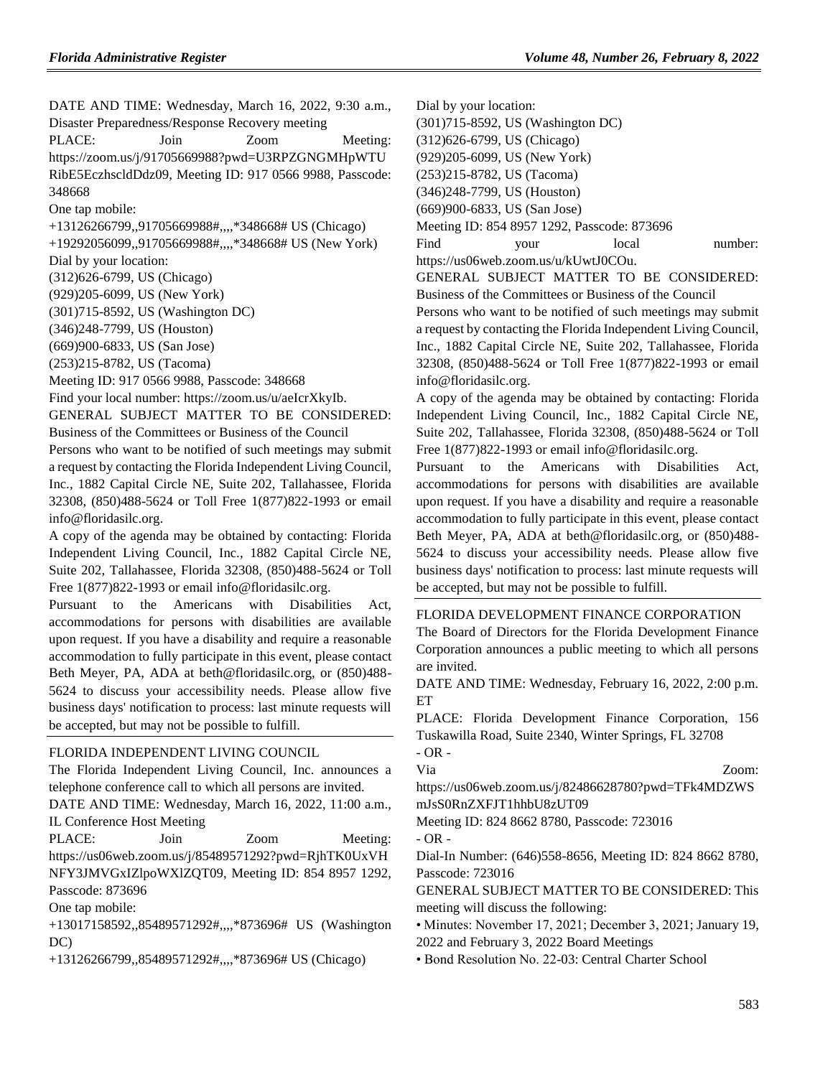DATE AND TIME: Wednesday, March 16, 2022, 9:30 a.m., Disaster Preparedness/Response Recovery meeting

PLACE: Join Zoom Meeting: https://zoom.us/j/91705669988?pwd=U3RPZGNGMHpWTU RibE5EczhscldDdz09, Meeting ID: 917 0566 9988, Passcode: 348668

One tap mobile:

+13126266799,,91705669988#,,,,\*348668# US (Chicago)

+19292056099,,91705669988#,,,,\*348668# US (New York) Dial by your location:

(312)626-6799, US (Chicago)

(929)205-6099, US (New York)

(301)715-8592, US (Washington DC)

(346)248-7799, US (Houston)

(669)900-6833, US (San Jose)

(253)215-8782, US (Tacoma)

Meeting ID: 917 0566 9988, Passcode: 348668

Find your local number: https://zoom.us/u/aeIcrXkyIb.

GENERAL SUBJECT MATTER TO BE CONSIDERED: Business of the Committees or Business of the Council

Persons who want to be notified of such meetings may submit a request by contacting the Florida Independent Living Council, Inc., 1882 Capital Circle NE, Suite 202, Tallahassee, Florida 32308, (850)488-5624 or Toll Free 1(877)822-1993 or email info@floridasilc.org.

A copy of the agenda may be obtained by contacting: Florida Independent Living Council, Inc., 1882 Capital Circle NE, Suite 202, Tallahassee, Florida 32308, (850)488-5624 or Toll Free  $1(877)822-1993$  or email info@floridasilc.org.

Pursuant to the Americans with Disabilities Act, accommodations for persons with disabilities are available upon request. If you have a disability and require a reasonable accommodation to fully participate in this event, please contact Beth Meyer, PA, ADA at beth@floridasilc.org, or (850)488- 5624 to discuss your accessibility needs. Please allow five business days' notification to process: last minute requests will be accepted, but may not be possible to fulfill.

# [FLORIDA INDEPENDENT LIVING COUNCIL](https://www.flrules.org/gateway/organization.asp?id=616)

The Florida Independent Living Council, Inc. announces a telephone conference call to which all persons are invited.

DATE AND TIME: Wednesday, March 16, 2022, 11:00 a.m., IL Conference Host Meeting

PLACE: Join Zoom Meeting: https://us06web.zoom.us/j/85489571292?pwd=RjhTK0UxVH NFY3JMVGxIZlpoWXlZQT09, Meeting ID: 854 8957 1292, Passcode: 873696

One tap mobile:

+13017158592,,85489571292#,,,,\*873696# US (Washington DC)

+13126266799,,85489571292#,,,,\*873696# US (Chicago)

Dial by your location:

(301)715-8592, US (Washington DC)

(312)626-6799, US (Chicago)

(929)205-6099, US (New York)

(253)215-8782, US (Tacoma)

(346)248-7799, US (Houston)

(669)900-6833, US (San Jose)

Meeting ID: 854 8957 1292, Passcode: 873696

Find your local number:

https://us06web.zoom.us/u/kUwtJ0COu.

GENERAL SUBJECT MATTER TO BE CONSIDERED: Business of the Committees or Business of the Council

Persons who want to be notified of such meetings may submit a request by contacting the Florida Independent Living Council, Inc., 1882 Capital Circle NE, Suite 202, Tallahassee, Florida 32308, (850)488-5624 or Toll Free 1(877)822-1993 or email info@floridasilc.org.

A copy of the agenda may be obtained by contacting: Florida Independent Living Council, Inc., 1882 Capital Circle NE, Suite 202, Tallahassee, Florida 32308, (850)488-5624 or Toll Free 1(877)822-1993 or email info@floridasilc.org.

Pursuant to the Americans with Disabilities Act, accommodations for persons with disabilities are available upon request. If you have a disability and require a reasonable accommodation to fully participate in this event, please contact Beth Meyer, PA, ADA at beth@floridasilc.org, or (850)488- 5624 to discuss your accessibility needs. Please allow five business days' notification to process: last minute requests will be accepted, but may not be possible to fulfill.

## [FLORIDA DEVELOPMENT FINANCE CORPORATION](https://www.flrules.org/gateway/organization.asp?id=941)

The Board of Directors for the Florida Development Finance Corporation announces a public meeting to which all persons are invited.

DATE AND TIME: Wednesday, February 16, 2022, 2:00 p.m. ET

PLACE: Florida Development Finance Corporation, 156 Tuskawilla Road, Suite 2340, Winter Springs, FL 32708  $- OR -$ 

Via Zoom: https://us06web.zoom.us/j/82486628780?pwd=TFk4MDZWS mJsS0RnZXFJT1hhbU8zUT09

Meeting ID: 824 8662 8780, Passcode: 723016

- OR -

Dial-In Number: (646)558-8656, Meeting ID: 824 8662 8780, Passcode: 723016

GENERAL SUBJECT MATTER TO BE CONSIDERED: This meeting will discuss the following:

• Minutes: November 17, 2021; December 3, 2021; January 19, 2022 and February 3, 2022 Board Meetings

• Bond Resolution No. 22-03: Central Charter School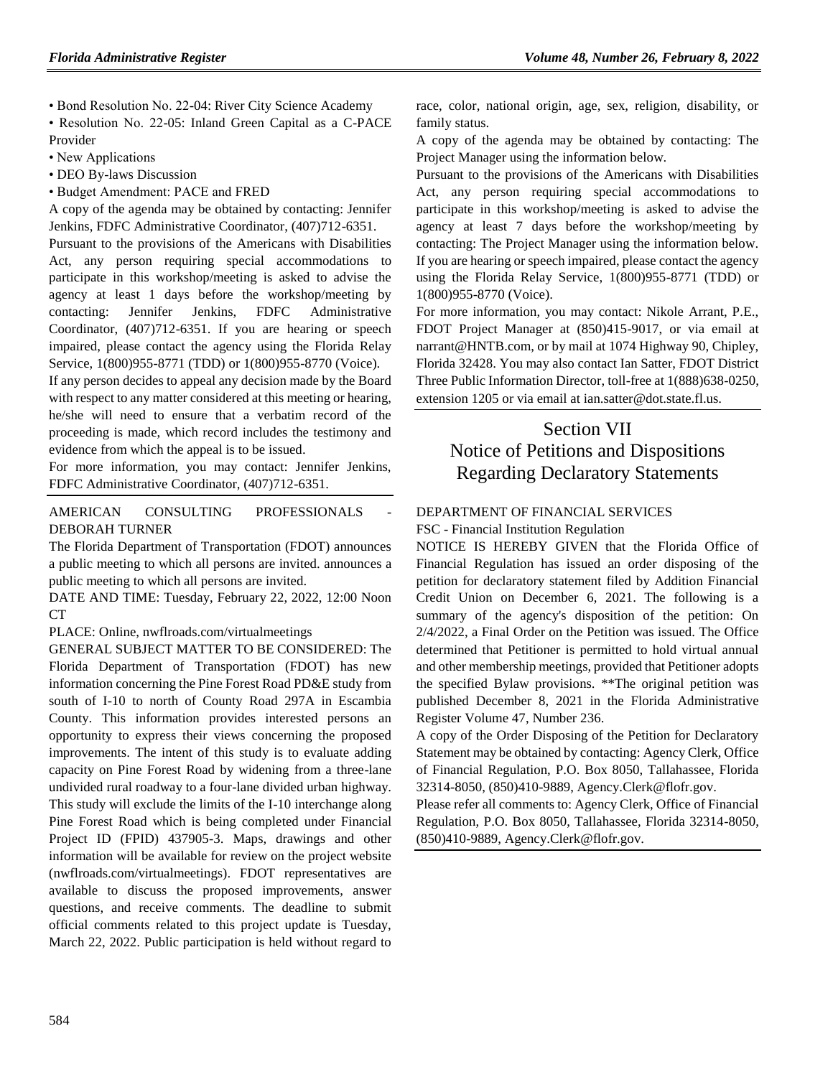• Bond Resolution No. 22-04: River City Science Academy

• Resolution No. 22-05: Inland Green Capital as a C-PACE Provider

- New Applications
- DEO By-laws Discussion
- Budget Amendment: PACE and FRED

A copy of the agenda may be obtained by contacting: Jennifer Jenkins, FDFC Administrative Coordinator, (407)712-6351.

Pursuant to the provisions of the Americans with Disabilities Act, any person requiring special accommodations to participate in this workshop/meeting is asked to advise the agency at least 1 days before the workshop/meeting by contacting: Jennifer Jenkins, FDFC Administrative Coordinator, (407)712-6351. If you are hearing or speech impaired, please contact the agency using the Florida Relay Service, 1(800)955-8771 (TDD) or 1(800)955-8770 (Voice).

If any person decides to appeal any decision made by the Board with respect to any matter considered at this meeting or hearing, he/she will need to ensure that a verbatim record of the proceeding is made, which record includes the testimony and evidence from which the appeal is to be issued.

For more information, you may contact: Jennifer Jenkins, FDFC Administrative Coordinator, (407)712-6351.

AMERICAN CONSULTING PROFESSIONALS [DEBORAH TURNER](https://www.flrules.org/gateway/organization.asp?id=977)

The Florida Department of Transportation (FDOT) announces a public meeting to which all persons are invited. announces a public meeting to which all persons are invited.

DATE AND TIME: Tuesday, February 22, 2022, 12:00 Noon CT

PLACE: Online, nwflroads.com/virtualmeetings

GENERAL SUBJECT MATTER TO BE CONSIDERED: The Florida Department of Transportation (FDOT) has new information concerning the Pine Forest Road PD&E study from south of I-10 to north of County Road 297A in Escambia County. This information provides interested persons an opportunity to express their views concerning the proposed improvements. The intent of this study is to evaluate adding capacity on Pine Forest Road by widening from a three-lane undivided rural roadway to a four-lane divided urban highway. This study will exclude the limits of the I-10 interchange along Pine Forest Road which is being completed under Financial Project ID (FPID) 437905-3. Maps, drawings and other information will be available for review on the project website (nwflroads.com/virtualmeetings). FDOT representatives are available to discuss the proposed improvements, answer questions, and receive comments. The deadline to submit official comments related to this project update is Tuesday, March 22, 2022. Public participation is held without regard to

race, color, national origin, age, sex, religion, disability, or family status.

A copy of the agenda may be obtained by contacting: The Project Manager using the information below.

Pursuant to the provisions of the Americans with Disabilities Act, any person requiring special accommodations to participate in this workshop/meeting is asked to advise the agency at least 7 days before the workshop/meeting by contacting: The Project Manager using the information below. If you are hearing or speech impaired, please contact the agency using the Florida Relay Service, 1(800)955-8771 (TDD) or 1(800)955-8770 (Voice).

For more information, you may contact: Nikole Arrant, P.E., FDOT Project Manager at (850)415-9017, or via email at narrant@HNTB.com, or by mail at 1074 Highway 90, Chipley, Florida 32428. You may also contact Ian Satter, FDOT District Three Public Information Director, toll-free at 1(888)638-0250, extension 1205 or via email at ian.satter@dot.state.fl.us.

# Section VII Notice of Petitions and Dispositions Regarding Declaratory Statements

# [DEPARTMENT OF FINANCIAL SERVICES](https://www.flrules.org/gateway/department.asp?id=69)

FSC - [Financial Institution Regulation](https://www.flrules.org/gateway/organization.asp?id=523)

NOTICE IS HEREBY GIVEN that the Florida Office of Financial Regulation has issued an order disposing of the petition for declaratory statement filed by Addition Financial Credit Union on December 6, 2021. The following is a summary of the agency's disposition of the petition: On 2/4/2022, a Final Order on the Petition was issued. The Office determined that Petitioner is permitted to hold virtual annual and other membership meetings, provided that Petitioner adopts the specified Bylaw provisions. \*\*The original petition was published December 8, 2021 in the Florida Administrative Register Volume 47, Number 236.

A copy of the Order Disposing of the Petition for Declaratory Statement may be obtained by contacting: Agency Clerk, Office of Financial Regulation, P.O. Box 8050, Tallahassee, Florida 32314-8050, (850)410-9889, Agency.Clerk@flofr.gov.

Please refer all comments to: Agency Clerk, Office of Financial Regulation, P.O. Box 8050, Tallahassee, Florida 32314-8050, (850)410-9889, Agency.Clerk@flofr.gov.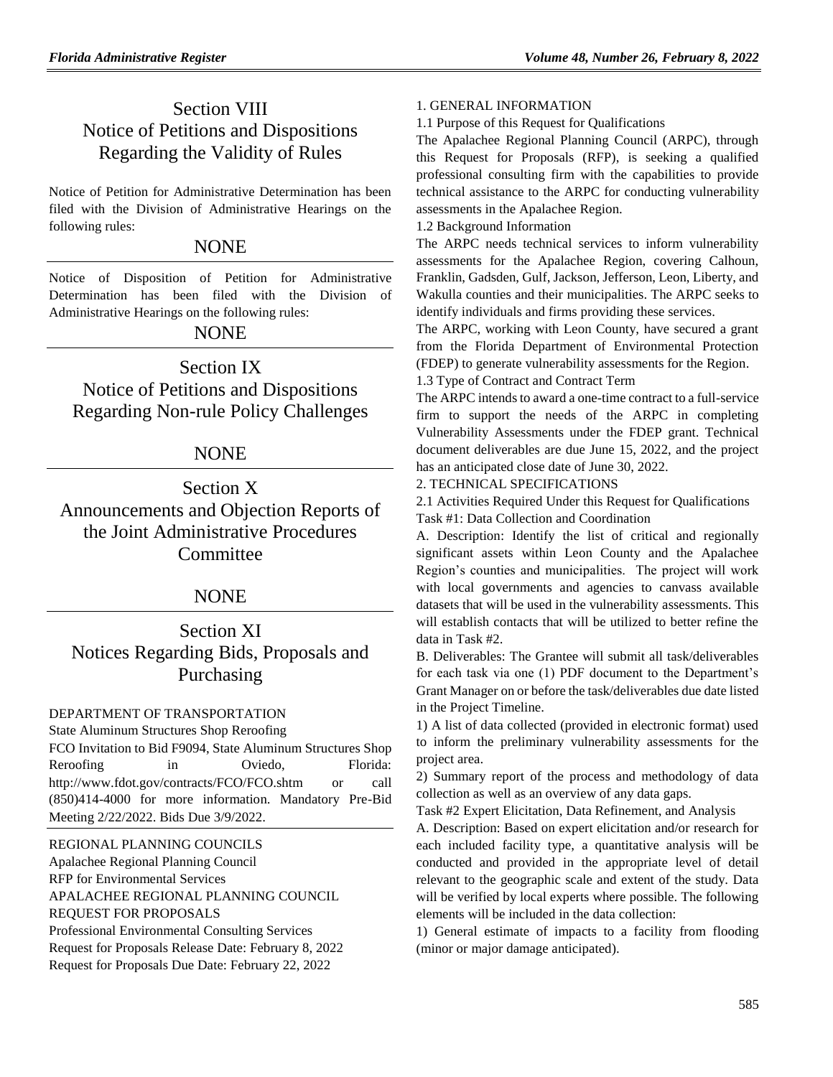# Section VIII Notice of Petitions and Dispositions Regarding the Validity of Rules

Notice of Petition for Administrative Determination has been filed with the Division of Administrative Hearings on the following rules:

# **NONE**

Notice of Disposition of Petition for Administrative Determination has been filed with the Division of Administrative Hearings on the following rules:

# NONE

Section IX Notice of Petitions and Dispositions Regarding Non-rule Policy Challenges

# NONE

Section X Announcements and Objection Reports of the Joint Administrative Procedures **Committee** 

# NONE

Section XI Notices Regarding Bids, Proposals and Purchasing

# [DEPARTMENT OF TRANSPORTATION](https://www.flrules.org/gateway/department.asp?id=14)

State Aluminum Structures Shop Reroofing FCO Invitation to Bid F9094, State Aluminum Structures Shop Reroofing in Oviedo, Florida: <http://www.fdot.gov/contracts/FCO/FCO.shtm> or call (850)414-4000 for more information. Mandatory Pre-Bid Meeting 2/22/2022. Bids Due 3/9/2022.

[REGIONAL PLANNING COUNCILS](https://www.flrules.org/gateway/department.asp?id=29)

[Apalachee Regional Planning Council](https://www.flrules.org/gateway/organization.asp?id=68) RFP for Environmental Services APALACHEE REGIONAL PLANNING COUNCIL REQUEST FOR PROPOSALS Professional Environmental Consulting Services Request for Proposals Release Date: February 8, 2022 Request for Proposals Due Date: February 22, 2022

## 1. GENERAL INFORMATION

1.1 Purpose of this Request for Qualifications

The Apalachee Regional Planning Council (ARPC), through this Request for Proposals (RFP), is seeking a qualified professional consulting firm with the capabilities to provide technical assistance to the ARPC for conducting vulnerability assessments in the Apalachee Region.

1.2 Background Information

The ARPC needs technical services to inform vulnerability assessments for the Apalachee Region, covering Calhoun, Franklin, Gadsden, Gulf, Jackson, Jefferson, Leon, Liberty, and Wakulla counties and their municipalities. The ARPC seeks to identify individuals and firms providing these services.

The ARPC, working with Leon County, have secured a grant from the Florida Department of Environmental Protection (FDEP) to generate vulnerability assessments for the Region.

# 1.3 Type of Contract and Contract Term

The ARPC intends to award a one-time contract to a full-service firm to support the needs of the ARPC in completing Vulnerability Assessments under the FDEP grant. Technical document deliverables are due June 15, 2022, and the project has an anticipated close date of June 30, 2022.

# 2. TECHNICAL SPECIFICATIONS

2.1 Activities Required Under this Request for Qualifications Task #1: Data Collection and Coordination

A. Description: Identify the list of critical and regionally significant assets within Leon County and the Apalachee Region's counties and municipalities. The project will work with local governments and agencies to canvass available datasets that will be used in the vulnerability assessments. This will establish contacts that will be utilized to better refine the data in Task #2.

B. Deliverables: The Grantee will submit all task/deliverables for each task via one (1) PDF document to the Department's Grant Manager on or before the task/deliverables due date listed in the Project Timeline.

1) A list of data collected (provided in electronic format) used to inform the preliminary vulnerability assessments for the project area.

2) Summary report of the process and methodology of data collection as well as an overview of any data gaps.

Task #2 Expert Elicitation, Data Refinement, and Analysis

A. Description: Based on expert elicitation and/or research for each included facility type, a quantitative analysis will be conducted and provided in the appropriate level of detail relevant to the geographic scale and extent of the study. Data will be verified by local experts where possible. The following elements will be included in the data collection:

1) General estimate of impacts to a facility from flooding (minor or major damage anticipated).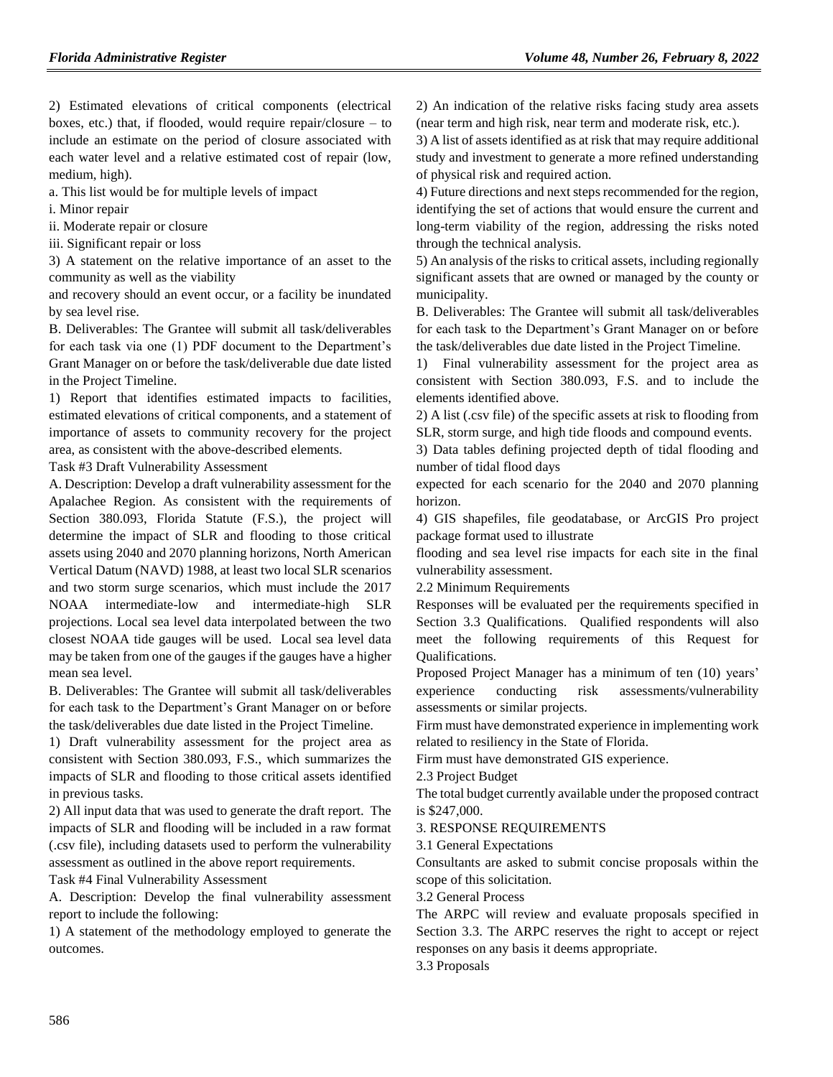2) Estimated elevations of critical components (electrical boxes, etc.) that, if flooded, would require repair/closure – to include an estimate on the period of closure associated with each water level and a relative estimated cost of repair (low, medium, high).

a. This list would be for multiple levels of impact

i. Minor repair

ii. Moderate repair or closure

iii. Significant repair or loss

3) A statement on the relative importance of an asset to the community as well as the viability

and recovery should an event occur, or a facility be inundated by sea level rise.

B. Deliverables: The Grantee will submit all task/deliverables for each task via one (1) PDF document to the Department's Grant Manager on or before the task/deliverable due date listed in the Project Timeline.

1) Report that identifies estimated impacts to facilities, estimated elevations of critical components, and a statement of importance of assets to community recovery for the project area, as consistent with the above-described elements.

Task #3 Draft Vulnerability Assessment

A. Description: Develop a draft vulnerability assessment for the Apalachee Region. As consistent with the requirements of Section 380.093, Florida Statute (F.S.), the project will determine the impact of SLR and flooding to those critical assets using 2040 and 2070 planning horizons, North American Vertical Datum (NAVD) 1988, at least two local SLR scenarios and two storm surge scenarios, which must include the 2017 NOAA intermediate-low and intermediate-high SLR projections. Local sea level data interpolated between the two closest NOAA tide gauges will be used. Local sea level data may be taken from one of the gauges if the gauges have a higher mean sea level.

B. Deliverables: The Grantee will submit all task/deliverables for each task to the Department's Grant Manager on or before the task/deliverables due date listed in the Project Timeline.

1) Draft vulnerability assessment for the project area as consistent with Section 380.093, F.S., which summarizes the impacts of SLR and flooding to those critical assets identified in previous tasks.

2) All input data that was used to generate the draft report. The impacts of SLR and flooding will be included in a raw format (.csv file), including datasets used to perform the vulnerability assessment as outlined in the above report requirements.

Task #4 Final Vulnerability Assessment

A. Description: Develop the final vulnerability assessment report to include the following:

1) A statement of the methodology employed to generate the outcomes.

2) An indication of the relative risks facing study area assets (near term and high risk, near term and moderate risk, etc.).

3) A list of assets identified as at risk that may require additional study and investment to generate a more refined understanding of physical risk and required action.

4) Future directions and next steps recommended for the region, identifying the set of actions that would ensure the current and long-term viability of the region, addressing the risks noted through the technical analysis.

5) An analysis of the risks to critical assets, including regionally significant assets that are owned or managed by the county or municipality.

B. Deliverables: The Grantee will submit all task/deliverables for each task to the Department's Grant Manager on or before the task/deliverables due date listed in the Project Timeline.

1) Final vulnerability assessment for the project area as consistent with Section 380.093, F.S. and to include the elements identified above.

2) A list (.csv file) of the specific assets at risk to flooding from SLR, storm surge, and high tide floods and compound events.

3) Data tables defining projected depth of tidal flooding and number of tidal flood days

expected for each scenario for the 2040 and 2070 planning horizon.

4) GIS shapefiles, file geodatabase, or ArcGIS Pro project package format used to illustrate

flooding and sea level rise impacts for each site in the final vulnerability assessment.

2.2 Minimum Requirements

Responses will be evaluated per the requirements specified in Section 3.3 Qualifications. Qualified respondents will also meet the following requirements of this Request for Qualifications.

Proposed Project Manager has a minimum of ten (10) years' experience conducting risk assessments/vulnerability assessments or similar projects.

Firm must have demonstrated experience in implementing work related to resiliency in the State of Florida.

Firm must have demonstrated GIS experience.

2.3 Project Budget

The total budget currently available under the proposed contract is \$247,000.

3. RESPONSE REQUIREMENTS

3.1 General Expectations

Consultants are asked to submit concise proposals within the scope of this solicitation.

3.2 General Process

The ARPC will review and evaluate proposals specified in Section 3.3. The ARPC reserves the right to accept or reject responses on any basis it deems appropriate.

3.3 Proposals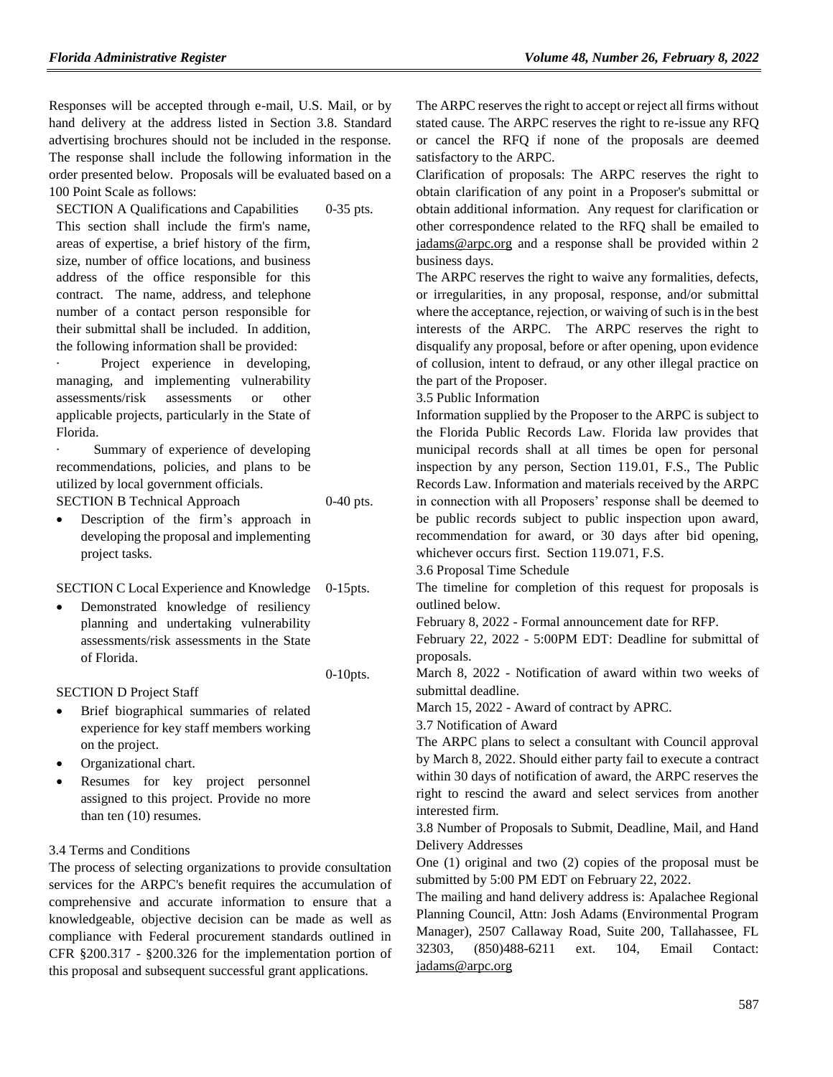Responses will be accepted through e-mail, U.S. Mail, or by hand delivery at the address listed in Section 3.8. Standard advertising brochures should not be included in the response. The response shall include the following information in the order presented below. Proposals will be evaluated based on a 100 Point Scale as follows:

0-35 pts.

0-40 pts.

0-10pts.

SECTION A Qualifications and Capabilities This section shall include the firm's name, areas of expertise, a brief history of the firm, size, number of office locations, and business address of the office responsible for this contract. The name, address, and telephone number of a contact person responsible for their submittal shall be included. In addition, the following information shall be provided:

· Project experience in developing, managing, and implementing vulnerability assessments/risk assessments or other applicable projects, particularly in the State of Florida.

Summary of experience of developing recommendations, policies, and plans to be utilized by local government officials. SECTION B Technical Approach

 Description of the firm's approach in developing the proposal and implementing project tasks.

SECTION C Local Experience and Knowledge 0-15pts.

 Demonstrated knowledge of resiliency planning and undertaking vulnerability assessments/risk assessments in the State of Florida.

SECTION D Project Staff

- Brief biographical summaries of related experience for key staff members working on the project.
- Organizational chart.
- Resumes for key project personnel assigned to this project. Provide no more than ten (10) resumes.

3.4 Terms and Conditions

The process of selecting organizations to provide consultation services for the ARPC's benefit requires the accumulation of comprehensive and accurate information to ensure that a knowledgeable, objective decision can be made as well as compliance with Federal procurement standards outlined in CFR §200.317 - §200.326 for the implementation portion of this proposal and subsequent successful grant applications.

The ARPC reserves the right to accept or reject all firms without stated cause. The ARPC reserves the right to re-issue any RFQ or cancel the RFQ if none of the proposals are deemed satisfactory to the ARPC.

Clarification of proposals: The ARPC reserves the right to obtain clarification of any point in a Proposer's submittal or obtain additional information. Any request for clarification or other correspondence related to the RFQ shall be emailed to [jadams@arpc.org](mailto:jadams@arpc.org) and a response shall be provided within 2 business days.

The ARPC reserves the right to waive any formalities, defects, or irregularities, in any proposal, response, and/or submittal where the acceptance, rejection, or waiving of such is in the best interests of the ARPC. The ARPC reserves the right to disqualify any proposal, before or after opening, upon evidence of collusion, intent to defraud, or any other illegal practice on the part of the Proposer.

3.5 Public Information

Information supplied by the Proposer to the ARPC is subject to the Florida Public Records Law. Florida law provides that municipal records shall at all times be open for personal inspection by any person, Section 119.01, F.S., The Public Records Law. Information and materials received by the ARPC in connection with all Proposers' response shall be deemed to be public records subject to public inspection upon award, recommendation for award, or 30 days after bid opening, whichever occurs first. Section 119.071, F.S.

3.6 Proposal Time Schedule

The timeline for completion of this request for proposals is outlined below.

February 8, 2022 - Formal announcement date for RFP.

February 22, 2022 - 5:00PM EDT: Deadline for submittal of proposals.

March 8, 2022 - Notification of award within two weeks of submittal deadline.

March 15, 2022 - Award of contract by APRC.

3.7 Notification of Award

The ARPC plans to select a consultant with Council approval by March 8, 2022. Should either party fail to execute a contract within 30 days of notification of award, the ARPC reserves the right to rescind the award and select services from another interested firm.

3.8 Number of Proposals to Submit, Deadline, Mail, and Hand Delivery Addresses

One (1) original and two (2) copies of the proposal must be submitted by 5:00 PM EDT on February 22, 2022.

The mailing and hand delivery address is: Apalachee Regional Planning Council, Attn: Josh Adams (Environmental Program Manager), 2507 Callaway Road, Suite 200, Tallahassee, FL 32303, (850)488-6211 ext. 104, Email Contact: [jadams@arpc.org](mailto:Jadams@thearpc.com)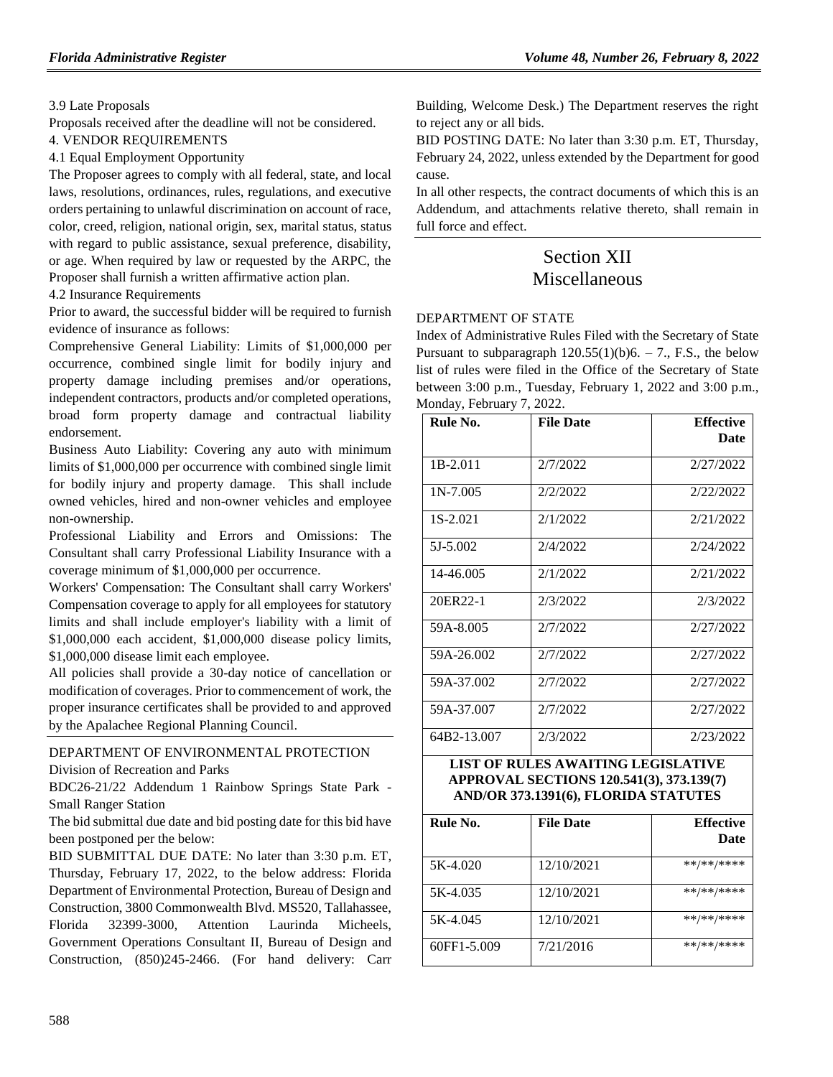### 3.9 Late Proposals

Proposals received after the deadline will not be considered.

4. VENDOR REQUIREMENTS

4.1 Equal Employment Opportunity

The Proposer agrees to comply with all federal, state, and local laws, resolutions, ordinances, rules, regulations, and executive orders pertaining to unlawful discrimination on account of race, color, creed, religion, national origin, sex, marital status, status with regard to public assistance, sexual preference, disability, or age. When required by law or requested by the ARPC, the Proposer shall furnish a written affirmative action plan.

4.2 Insurance Requirements

Prior to award, the successful bidder will be required to furnish evidence of insurance as follows:

Comprehensive General Liability: Limits of \$1,000,000 per occurrence, combined single limit for bodily injury and property damage including premises and/or operations, independent contractors, products and/or completed operations, broad form property damage and contractual liability endorsement.

Business Auto Liability: Covering any auto with minimum limits of \$1,000,000 per occurrence with combined single limit for bodily injury and property damage. This shall include owned vehicles, hired and non-owner vehicles and employee non-ownership.

Professional Liability and Errors and Omissions: The Consultant shall carry Professional Liability Insurance with a coverage minimum of \$1,000,000 per occurrence.

Workers' Compensation: The Consultant shall carry Workers' Compensation coverage to apply for all employees for statutory limits and shall include employer's liability with a limit of \$1,000,000 each accident, \$1,000,000 disease policy limits, \$1,000,000 disease limit each employee.

All policies shall provide a 30-day notice of cancellation or modification of coverages. Prior to commencement of work, the proper insurance certificates shall be provided to and approved by the Apalachee Regional Planning Council.

# [DEPARTMENT OF ENVIRONMENTAL PROTECTION](https://www.flrules.org/gateway/department.asp?id=62)

[Division of Recreation and Parks](https://www.flrules.org/gateway/organization.asp?id=290)

BDC26-21/22 Addendum 1 Rainbow Springs State Park - Small Ranger Station

The bid submittal due date and bid posting date for this bid have been postponed per the below:

BID SUBMITTAL DUE DATE: No later than 3:30 p.m. ET, Thursday, February 17, 2022, to the below address: Florida Department of Environmental Protection, Bureau of Design and Construction, 3800 Commonwealth Blvd. MS520, Tallahassee, Florida 32399-3000, Attention Laurinda Micheels, Government Operations Consultant II, Bureau of Design and Construction, (850)245-2466. (For hand delivery: Carr Building, Welcome Desk.) The Department reserves the right to reject any or all bids.

BID POSTING DATE: No later than 3:30 p.m. ET, Thursday, February 24, 2022, unless extended by the Department for good cause.

In all other respects, the contract documents of which this is an Addendum, and attachments relative thereto, shall remain in full force and effect.

# Section XII Miscellaneous

# [DEPARTMENT OF STATE](https://www.flrules.org/gateway/department.asp?id=1)

Index of Administrative Rules Filed with the Secretary of State Pursuant to subparagraph  $120.55(1)(b)6. - 7$ ., F.S., the below list of rules were filed in the Office of the Secretary of State between 3:00 p.m., Tuesday, February 1, 2022 and 3:00 p.m., Monday, February 7, 2022.

| Rule No.    | <b>File Date</b> | <b>Effective</b><br>Date |
|-------------|------------------|--------------------------|
| $1B-2.011$  | 2/7/2022         | 2/27/2022                |
| $1N-7.005$  | 2/2/2022         | 2/22/2022                |
| 1S-2.021    | 2/1/2022         | 2/21/2022                |
| 5J-5.002    | 2/4/2022         | 2/24/2022                |
| 14-46.005   | 2/1/2022         | 2/21/2022                |
| 20ER22-1    | 2/3/2022         | 2/3/2022                 |
| 59A-8.005   | 2/7/2022         | 2/27/2022                |
| 59A-26.002  | 2/7/2022         | 2/27/2022                |
| 59A-37.002  | 2/7/2022         | 2/27/2022                |
| 59A-37.007  | 2/7/2022         | 2/27/2022                |
| 64B2-13.007 | 2/3/2022         | 2/23/2022                |

#### **LIST OF RULES AWAITING LEGISLATIVE APPROVAL SECTIONS 120.541(3), 373.139(7) AND/OR 373.1391(6), FLORIDA STATUTES**

| Rule No.    | <b>File Date</b> | <b>Effective</b><br>Date |
|-------------|------------------|--------------------------|
| 5K-4.020    | 12/10/2021       | **/**/****               |
| 5K-4.035    | 12/10/2021       | **/**/****               |
| 5K-4.045    | 12/10/2021       | **/**/****               |
| 60FF1-5.009 | 7/21/2016        | $***$ /** /****          |